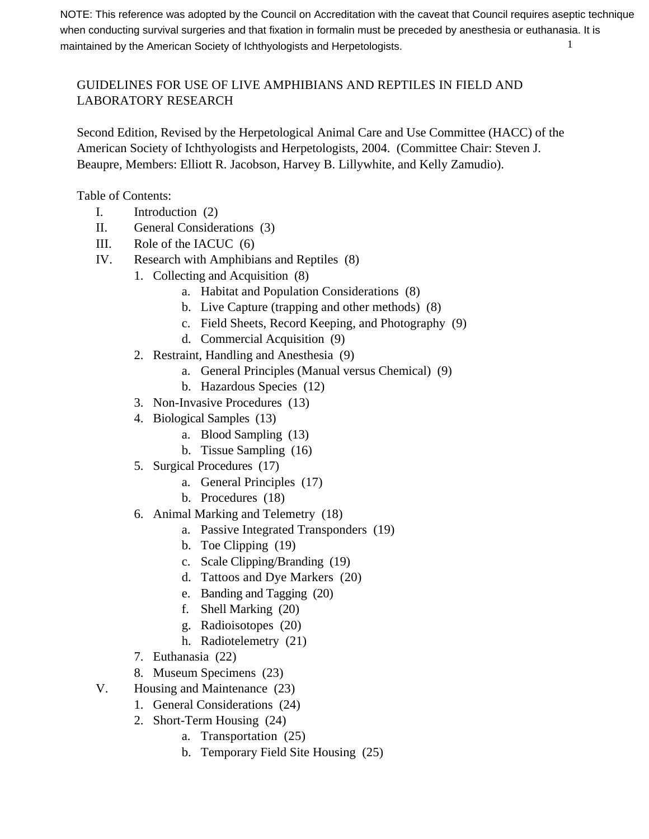1 NOTE: This reference was adopted by the Council on Accreditation with the caveat that Council requires aseptic technique when conducting survival surgeries and that fixation in formalin must be preceded by anesthesia or euthanasia. It is maintained by the American Society of Ichthyologists and Herpetologists.

# GUIDELINES FOR USE OF LIVE AMPHIBIANS AND REPTILES IN FIELD AND LABORATORY RESEARCH

Second Edition, Revised by the Herpetological Animal Care and Use Committee (HACC) of the American Society of Ichthyologists and Herpetologists, 2004. (Committee Chair: Steven J. Beaupre, Members: Elliott R. Jacobson, Harvey B. Lillywhite, and Kelly Zamudio).

Table of Contents:

- I. Introduction (2)
- II. General Considerations (3)
- III. Role of the IACUC (6)
- IV. Research with Amphibians and Reptiles (8)
	- 1. Collecting and Acquisition (8)
		- a. Habitat and Population Considerations (8)
		- b. Live Capture (trapping and other methods) (8)
		- c. Field Sheets, Record Keeping, and Photography (9)
		- d. Commercial Acquisition (9)
	- 2. Restraint, Handling and Anesthesia (9)
		- a. General Principles (Manual versus Chemical) (9)
		- b. Hazardous Species (12)
	- 3. Non-Invasive Procedures (13)
	- 4. Biological Samples (13)
		- a. Blood Sampling (13)
		- b. Tissue Sampling (16)
	- 5. Surgical Procedures (17)
		- a. General Principles (17)
		- b. Procedures (18)
	- 6. Animal Marking and Telemetry (18)
		- a. Passive Integrated Transponders (19)
		- b. Toe Clipping (19)
		- c. Scale Clipping/Branding (19)
		- d. Tattoos and Dye Markers (20)
		- e. Banding and Tagging (20)
		- f. Shell Marking (20)
		- g. Radioisotopes (20)
		- h. Radiotelemetry (21)
	- 7. Euthanasia (22)
	- 8. Museum Specimens (23)
- V. Housing and Maintenance (23)
	- 1. General Considerations (24)
	- 2. Short-Term Housing (24)
		- a. Transportation (25)
		- b. Temporary Field Site Housing (25)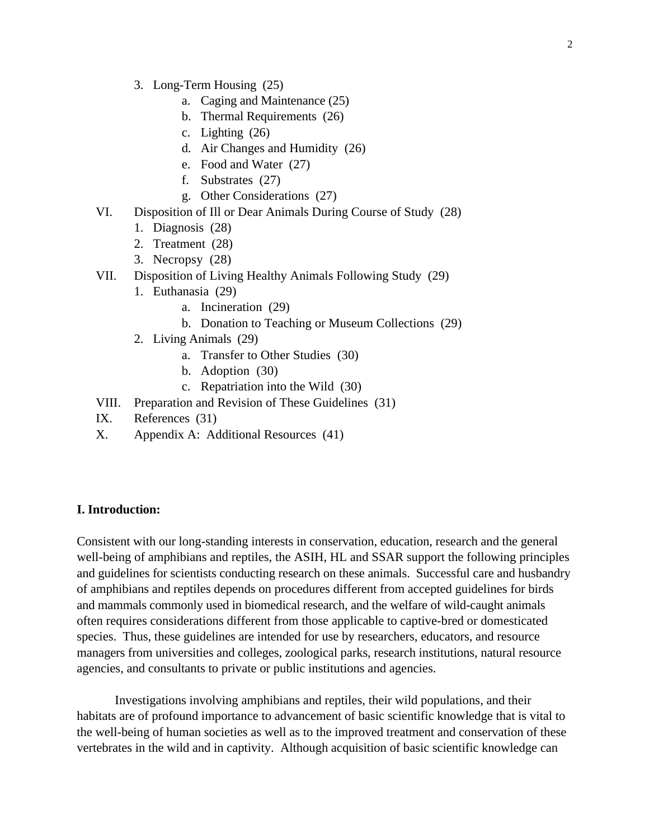- 3. Long-Term Housing (25)
	- a. Caging and Maintenance (25)
	- b. Thermal Requirements (26)
	- c. Lighting (26)
	- d. Air Changes and Humidity (26)
	- e. Food and Water (27)
	- f. Substrates (27)
	- g. Other Considerations (27)
- VI. Disposition of Ill or Dear Animals During Course of Study (28)
	- 1. Diagnosis (28)
	- 2. Treatment (28)
	- 3. Necropsy (28)
- VII. Disposition of Living Healthy Animals Following Study (29)
	- 1. Euthanasia (29)
		- a. Incineration (29)
		- b. Donation to Teaching or Museum Collections (29)
	- 2. Living Animals (29)
		- a. Transfer to Other Studies (30)
		- b. Adoption (30)
		- c. Repatriation into the Wild (30)
- VIII. Preparation and Revision of These Guidelines (31)
- IX. References (31)
- X. Appendix A: Additional Resources (41)

## **I. Introduction:**

Consistent with our long-standing interests in conservation, education, research and the general well-being of amphibians and reptiles, the ASIH, HL and SSAR support the following principles and guidelines for scientists conducting research on these animals. Successful care and husbandry of amphibians and reptiles depends on procedures different from accepted guidelines for birds and mammals commonly used in biomedical research, and the welfare of wild-caught animals often requires considerations different from those applicable to captive-bred or domesticated species. Thus, these guidelines are intended for use by researchers, educators, and resource managers from universities and colleges, zoological parks, research institutions, natural resource agencies, and consultants to private or public institutions and agencies.

Investigations involving amphibians and reptiles, their wild populations, and their habitats are of profound importance to advancement of basic scientific knowledge that is vital to the well-being of human societies as well as to the improved treatment and conservation of these vertebrates in the wild and in captivity. Although acquisition of basic scientific knowledge can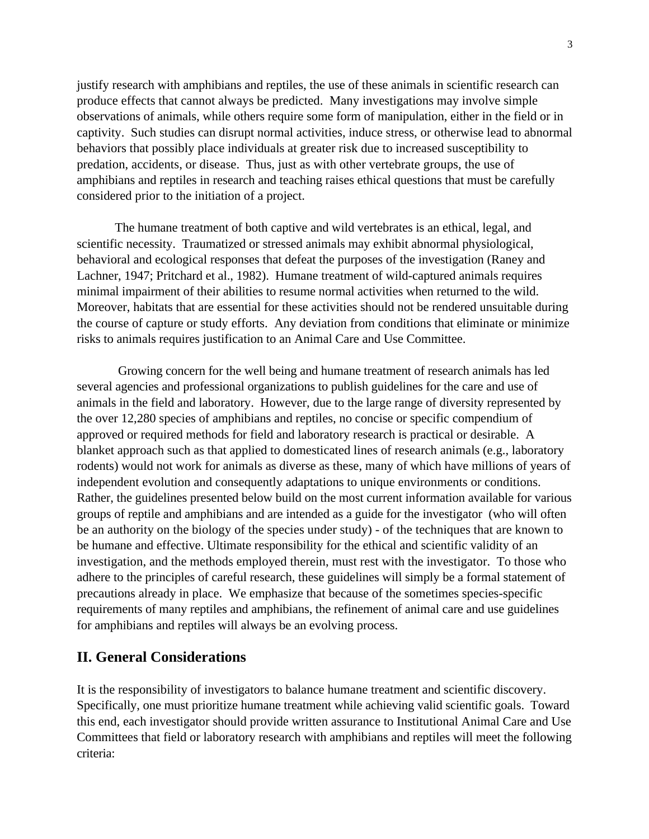justify research with amphibians and reptiles, the use of these animals in scientific research can produce effects that cannot always be predicted. Many investigations may involve simple observations of animals, while others require some form of manipulation, either in the field or in captivity. Such studies can disrupt normal activities, induce stress, or otherwise lead to abnormal behaviors that possibly place individuals at greater risk due to increased susceptibility to predation, accidents, or disease. Thus, just as with other vertebrate groups, the use of amphibians and reptiles in research and teaching raises ethical questions that must be carefully considered prior to the initiation of a project.

The humane treatment of both captive and wild vertebrates is an ethical, legal, and scientific necessity. Traumatized or stressed animals may exhibit abnormal physiological, behavioral and ecological responses that defeat the purposes of the investigation (Raney and Lachner, 1947; Pritchard et al., 1982). Humane treatment of wild-captured animals requires minimal impairment of their abilities to resume normal activities when returned to the wild. Moreover, habitats that are essential for these activities should not be rendered unsuitable during the course of capture or study efforts. Any deviation from conditions that eliminate or minimize risks to animals requires justification to an Animal Care and Use Committee.

 Growing concern for the well being and humane treatment of research animals has led several agencies and professional organizations to publish guidelines for the care and use of animals in the field and laboratory. However, due to the large range of diversity represented by the over 12,280 species of amphibians and reptiles, no concise or specific compendium of approved or required methods for field and laboratory research is practical or desirable. A blanket approach such as that applied to domesticated lines of research animals (e.g., laboratory rodents) would not work for animals as diverse as these, many of which have millions of years of independent evolution and consequently adaptations to unique environments or conditions. Rather, the guidelines presented below build on the most current information available for various groups of reptile and amphibians and are intended as a guide for the investigator (who will often be an authority on the biology of the species under study) - of the techniques that are known to be humane and effective. Ultimate responsibility for the ethical and scientific validity of an investigation, and the methods employed therein, must rest with the investigator. To those who adhere to the principles of careful research, these guidelines will simply be a formal statement of precautions already in place. We emphasize that because of the sometimes species-specific requirements of many reptiles and amphibians, the refinement of animal care and use guidelines for amphibians and reptiles will always be an evolving process.

# **II. General Considerations**

It is the responsibility of investigators to balance humane treatment and scientific discovery. Specifically, one must prioritize humane treatment while achieving valid scientific goals. Toward this end, each investigator should provide written assurance to Institutional Animal Care and Use Committees that field or laboratory research with amphibians and reptiles will meet the following criteria: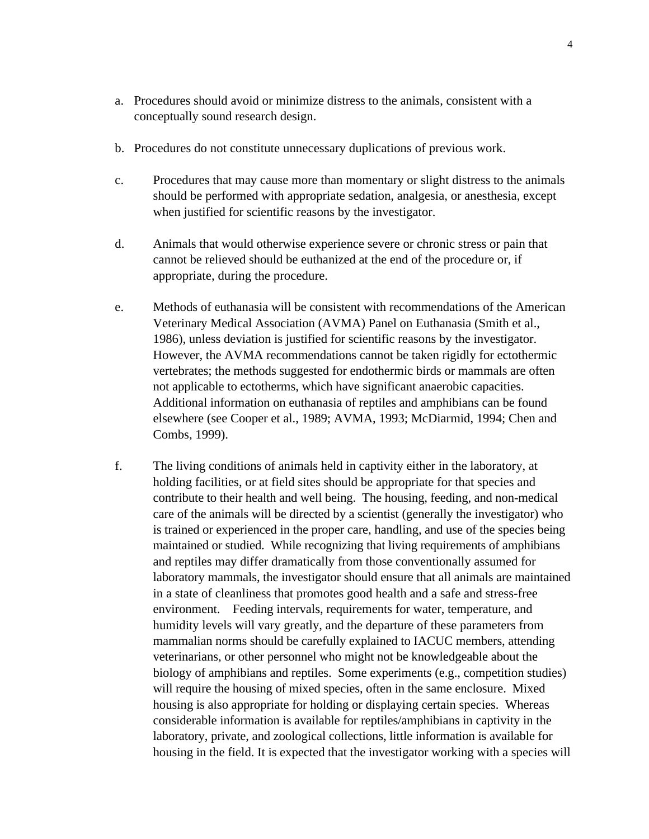- a. Procedures should avoid or minimize distress to the animals, consistent with a conceptually sound research design.
- b. Procedures do not constitute unnecessary duplications of previous work.
- c. Procedures that may cause more than momentary or slight distress to the animals should be performed with appropriate sedation, analgesia, or anesthesia, except when justified for scientific reasons by the investigator.
- d. Animals that would otherwise experience severe or chronic stress or pain that cannot be relieved should be euthanized at the end of the procedure or, if appropriate, during the procedure.
- e. Methods of euthanasia will be consistent with recommendations of the American Veterinary Medical Association (AVMA) Panel on Euthanasia (Smith et al., 1986), unless deviation is justified for scientific reasons by the investigator. However, the AVMA recommendations cannot be taken rigidly for ectothermic vertebrates; the methods suggested for endothermic birds or mammals are often not applicable to ectotherms, which have significant anaerobic capacities. Additional information on euthanasia of reptiles and amphibians can be found elsewhere (see Cooper et al., 1989; AVMA, 1993; McDiarmid, 1994; Chen and Combs, 1999).
- f. The living conditions of animals held in captivity either in the laboratory, at holding facilities, or at field sites should be appropriate for that species and contribute to their health and well being. The housing, feeding, and non-medical care of the animals will be directed by a scientist (generally the investigator) who is trained or experienced in the proper care, handling, and use of the species being maintained or studied. While recognizing that living requirements of amphibians and reptiles may differ dramatically from those conventionally assumed for laboratory mammals, the investigator should ensure that all animals are maintained in a state of cleanliness that promotes good health and a safe and stress-free environment. Feeding intervals, requirements for water, temperature, and humidity levels will vary greatly, and the departure of these parameters from mammalian norms should be carefully explained to IACUC members, attending veterinarians, or other personnel who might not be knowledgeable about the biology of amphibians and reptiles. Some experiments (e.g., competition studies) will require the housing of mixed species, often in the same enclosure. Mixed housing is also appropriate for holding or displaying certain species. Whereas considerable information is available for reptiles/amphibians in captivity in the laboratory, private, and zoological collections, little information is available for housing in the field. It is expected that the investigator working with a species will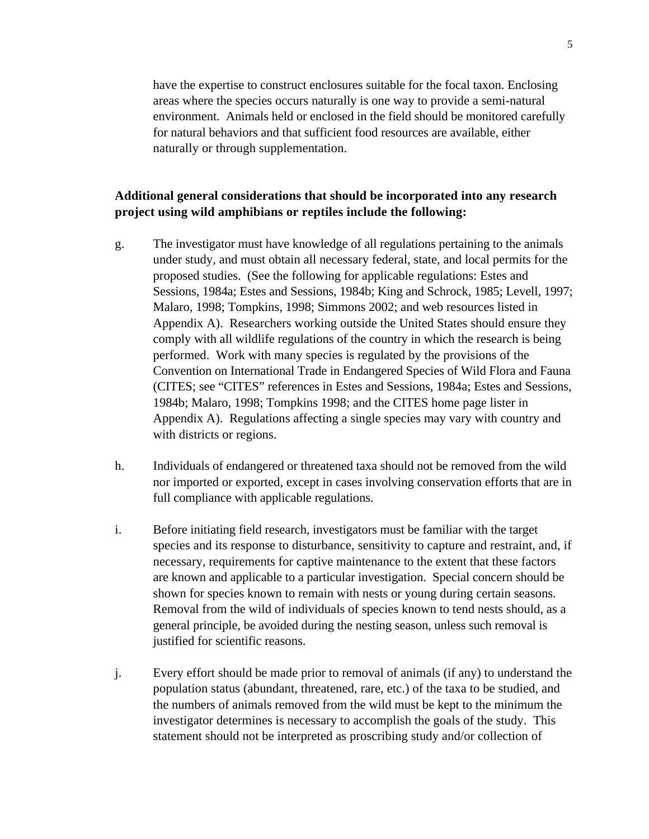have the expertise to construct enclosures suitable for the focal taxon. Enclosing areas where the species occurs naturally is one way to provide a semi-natural environment. Animals held or enclosed in the field should be monitored carefully for natural behaviors and that sufficient food resources are available, either naturally or through supplementation.

## **Additional general considerations that should be incorporated into any research project using wild amphibians or reptiles include the following:**

- g. The investigator must have knowledge of all regulations pertaining to the animals under study, and must obtain all necessary federal, state, and local permits for the proposed studies. (See the following for applicable regulations: Estes and Sessions, 1984a; Estes and Sessions, 1984b; King and Schrock, 1985; Levell, 1997; Malaro, 1998; Tompkins, 1998; Simmons 2002; and web resources listed in Appendix A). Researchers working outside the United States should ensure they comply with all wildlife regulations of the country in which the research is being performed. Work with many species is regulated by the provisions of the Convention on International Trade in Endangered Species of Wild Flora and Fauna (CITES; see "CITES" references in Estes and Sessions, 1984a; Estes and Sessions, 1984b; Malaro, 1998; Tompkins 1998; and the CITES home page lister in Appendix A). Regulations affecting a single species may vary with country and with districts or regions.
- h. Individuals of endangered or threatened taxa should not be removed from the wild nor imported or exported, except in cases involving conservation efforts that are in full compliance with applicable regulations.
- i. Before initiating field research, investigators must be familiar with the target species and its response to disturbance, sensitivity to capture and restraint, and, if necessary, requirements for captive maintenance to the extent that these factors are known and applicable to a particular investigation. Special concern should be shown for species known to remain with nests or young during certain seasons. Removal from the wild of individuals of species known to tend nests should, as a general principle, be avoided during the nesting season, unless such removal is justified for scientific reasons.
- j. Every effort should be made prior to removal of animals (if any) to understand the population status (abundant, threatened, rare, etc.) of the taxa to be studied, and the numbers of animals removed from the wild must be kept to the minimum the investigator determines is necessary to accomplish the goals of the study. This statement should not be interpreted as proscribing study and/or collection of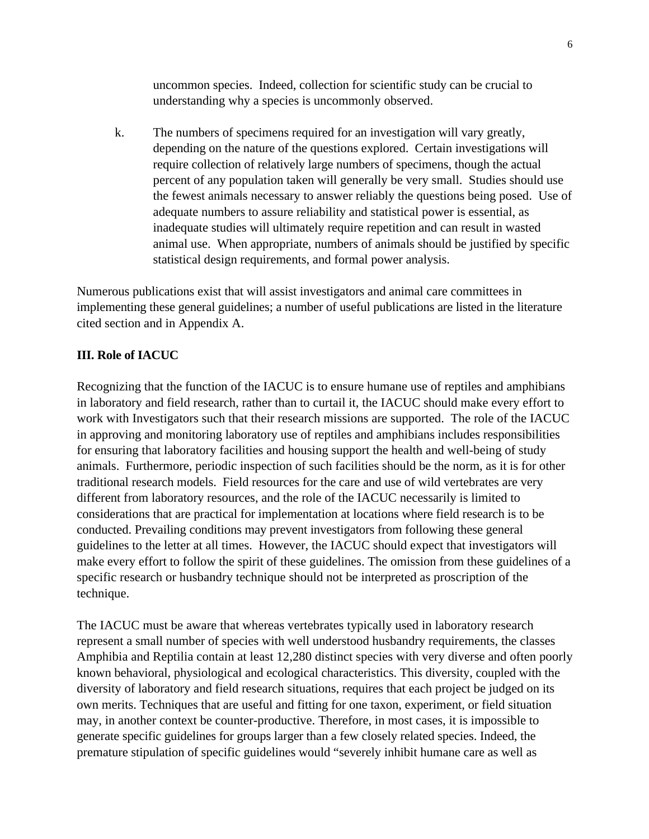uncommon species. Indeed, collection for scientific study can be crucial to understanding why a species is uncommonly observed.

k. The numbers of specimens required for an investigation will vary greatly, depending on the nature of the questions explored. Certain investigations will require collection of relatively large numbers of specimens, though the actual percent of any population taken will generally be very small. Studies should use the fewest animals necessary to answer reliably the questions being posed. Use of adequate numbers to assure reliability and statistical power is essential, as inadequate studies will ultimately require repetition and can result in wasted animal use. When appropriate, numbers of animals should be justified by specific statistical design requirements, and formal power analysis.

Numerous publications exist that will assist investigators and animal care committees in implementing these general guidelines; a number of useful publications are listed in the literature cited section and in Appendix A.

## **III. Role of IACUC**

Recognizing that the function of the IACUC is to ensure humane use of reptiles and amphibians in laboratory and field research, rather than to curtail it, the IACUC should make every effort to work with Investigators such that their research missions are supported. The role of the IACUC in approving and monitoring laboratory use of reptiles and amphibians includes responsibilities for ensuring that laboratory facilities and housing support the health and well-being of study animals. Furthermore, periodic inspection of such facilities should be the norm, as it is for other traditional research models. Field resources for the care and use of wild vertebrates are very different from laboratory resources, and the role of the IACUC necessarily is limited to considerations that are practical for implementation at locations where field research is to be conducted. Prevailing conditions may prevent investigators from following these general guidelines to the letter at all times. However, the IACUC should expect that investigators will make every effort to follow the spirit of these guidelines. The omission from these guidelines of a specific research or husbandry technique should not be interpreted as proscription of the technique.

The IACUC must be aware that whereas vertebrates typically used in laboratory research represent a small number of species with well understood husbandry requirements, the classes Amphibia and Reptilia contain at least 12,280 distinct species with very diverse and often poorly known behavioral, physiological and ecological characteristics. This diversity, coupled with the diversity of laboratory and field research situations, requires that each project be judged on its own merits. Techniques that are useful and fitting for one taxon, experiment, or field situation may, in another context be counter-productive. Therefore, in most cases, it is impossible to generate specific guidelines for groups larger than a few closely related species. Indeed, the premature stipulation of specific guidelines would "severely inhibit humane care as well as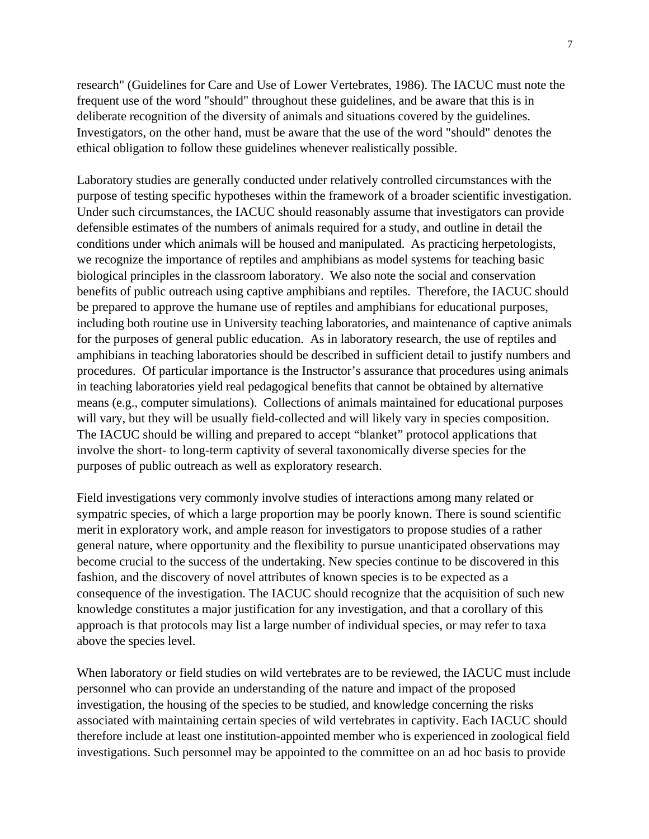research" (Guidelines for Care and Use of Lower Vertebrates, 1986). The IACUC must note the frequent use of the word "should" throughout these guidelines, and be aware that this is in deliberate recognition of the diversity of animals and situations covered by the guidelines. Investigators, on the other hand, must be aware that the use of the word "should" denotes the ethical obligation to follow these guidelines whenever realistically possible.

Laboratory studies are generally conducted under relatively controlled circumstances with the purpose of testing specific hypotheses within the framework of a broader scientific investigation. Under such circumstances, the IACUC should reasonably assume that investigators can provide defensible estimates of the numbers of animals required for a study, and outline in detail the conditions under which animals will be housed and manipulated. As practicing herpetologists, we recognize the importance of reptiles and amphibians as model systems for teaching basic biological principles in the classroom laboratory. We also note the social and conservation benefits of public outreach using captive amphibians and reptiles. Therefore, the IACUC should be prepared to approve the humane use of reptiles and amphibians for educational purposes, including both routine use in University teaching laboratories, and maintenance of captive animals for the purposes of general public education. As in laboratory research, the use of reptiles and amphibians in teaching laboratories should be described in sufficient detail to justify numbers and procedures. Of particular importance is the Instructor's assurance that procedures using animals in teaching laboratories yield real pedagogical benefits that cannot be obtained by alternative means (e.g., computer simulations). Collections of animals maintained for educational purposes will vary, but they will be usually field-collected and will likely vary in species composition. The IACUC should be willing and prepared to accept "blanket" protocol applications that involve the short- to long-term captivity of several taxonomically diverse species for the purposes of public outreach as well as exploratory research.

Field investigations very commonly involve studies of interactions among many related or sympatric species, of which a large proportion may be poorly known. There is sound scientific merit in exploratory work, and ample reason for investigators to propose studies of a rather general nature, where opportunity and the flexibility to pursue unanticipated observations may become crucial to the success of the undertaking. New species continue to be discovered in this fashion, and the discovery of novel attributes of known species is to be expected as a consequence of the investigation. The IACUC should recognize that the acquisition of such new knowledge constitutes a major justification for any investigation, and that a corollary of this approach is that protocols may list a large number of individual species, or may refer to taxa above the species level.

When laboratory or field studies on wild vertebrates are to be reviewed, the IACUC must include personnel who can provide an understanding of the nature and impact of the proposed investigation, the housing of the species to be studied, and knowledge concerning the risks associated with maintaining certain species of wild vertebrates in captivity. Each IACUC should therefore include at least one institution-appointed member who is experienced in zoological field investigations. Such personnel may be appointed to the committee on an ad hoc basis to provide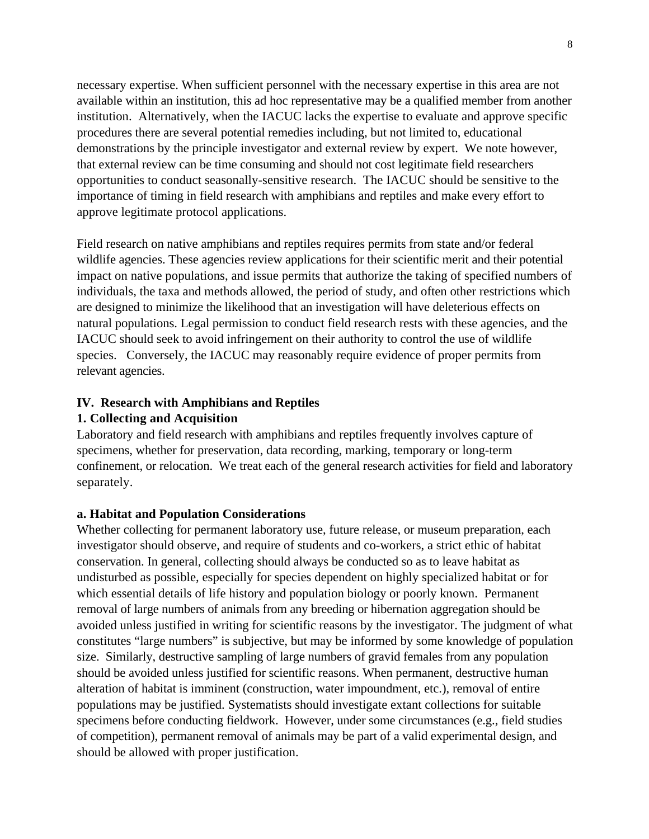necessary expertise. When sufficient personnel with the necessary expertise in this area are not available within an institution, this ad hoc representative may be a qualified member from another institution. Alternatively, when the IACUC lacks the expertise to evaluate and approve specific procedures there are several potential remedies including, but not limited to, educational demonstrations by the principle investigator and external review by expert. We note however, that external review can be time consuming and should not cost legitimate field researchers opportunities to conduct seasonally-sensitive research. The IACUC should be sensitive to the importance of timing in field research with amphibians and reptiles and make every effort to approve legitimate protocol applications.

Field research on native amphibians and reptiles requires permits from state and/or federal wildlife agencies. These agencies review applications for their scientific merit and their potential impact on native populations, and issue permits that authorize the taking of specified numbers of individuals, the taxa and methods allowed, the period of study, and often other restrictions which are designed to minimize the likelihood that an investigation will have deleterious effects on natural populations. Legal permission to conduct field research rests with these agencies, and the IACUC should seek to avoid infringement on their authority to control the use of wildlife species. Conversely, the IACUC may reasonably require evidence of proper permits from relevant agencies.

## **IV. Research with Amphibians and Reptiles**

## **1. Collecting and Acquisition**

Laboratory and field research with amphibians and reptiles frequently involves capture of specimens, whether for preservation, data recording, marking, temporary or long-term confinement, or relocation. We treat each of the general research activities for field and laboratory separately.

## **a. Habitat and Population Considerations**

Whether collecting for permanent laboratory use, future release, or museum preparation, each investigator should observe, and require of students and co-workers, a strict ethic of habitat conservation. In general, collecting should always be conducted so as to leave habitat as undisturbed as possible, especially for species dependent on highly specialized habitat or for which essential details of life history and population biology or poorly known. Permanent removal of large numbers of animals from any breeding or hibernation aggregation should be avoided unless justified in writing for scientific reasons by the investigator. The judgment of what constitutes "large numbers" is subjective, but may be informed by some knowledge of population size. Similarly, destructive sampling of large numbers of gravid females from any population should be avoided unless justified for scientific reasons. When permanent, destructive human alteration of habitat is imminent (construction, water impoundment, etc.), removal of entire populations may be justified. Systematists should investigate extant collections for suitable specimens before conducting fieldwork. However, under some circumstances (e.g., field studies of competition), permanent removal of animals may be part of a valid experimental design, and should be allowed with proper justification.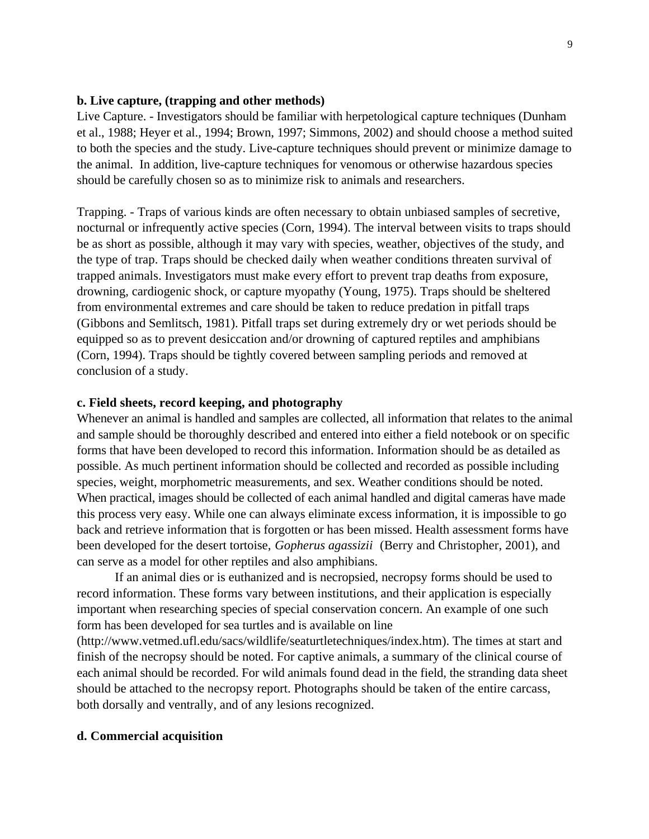## **b. Live capture, (trapping and other methods)**

Live Capture. - Investigators should be familiar with herpetological capture techniques (Dunham et al., 1988; Heyer et al., 1994; Brown, 1997; Simmons, 2002) and should choose a method suited to both the species and the study. Live-capture techniques should prevent or minimize damage to the animal. In addition, live-capture techniques for venomous or otherwise hazardous species should be carefully chosen so as to minimize risk to animals and researchers.

Trapping. - Traps of various kinds are often necessary to obtain unbiased samples of secretive, nocturnal or infrequently active species (Corn, 1994). The interval between visits to traps should be as short as possible, although it may vary with species, weather, objectives of the study, and the type of trap. Traps should be checked daily when weather conditions threaten survival of trapped animals. Investigators must make every effort to prevent trap deaths from exposure, drowning, cardiogenic shock, or capture myopathy (Young, 1975). Traps should be sheltered from environmental extremes and care should be taken to reduce predation in pitfall traps (Gibbons and Semlitsch, 1981). Pitfall traps set during extremely dry or wet periods should be equipped so as to prevent desiccation and/or drowning of captured reptiles and amphibians (Corn, 1994). Traps should be tightly covered between sampling periods and removed at conclusion of a study.

## **c. Field sheets, record keeping, and photography**

Whenever an animal is handled and samples are collected, all information that relates to the animal and sample should be thoroughly described and entered into either a field notebook or on specific forms that have been developed to record this information. Information should be as detailed as possible. As much pertinent information should be collected and recorded as possible including species, weight, morphometric measurements, and sex. Weather conditions should be noted. When practical, images should be collected of each animal handled and digital cameras have made this process very easy. While one can always eliminate excess information, it is impossible to go back and retrieve information that is forgotten or has been missed. Health assessment forms have been developed for the desert tortoise, *Gopherus agassizii* (Berry and Christopher, 2001), and can serve as a model for other reptiles and also amphibians.

If an animal dies or is euthanized and is necropsied, necropsy forms should be used to record information. These forms vary between institutions, and their application is especially important when researching species of special conservation concern. An example of one such form has been developed for sea turtles and is available on line

(http://www.vetmed.ufl.edu/sacs/wildlife/seaturtletechniques/index.htm). The times at start and finish of the necropsy should be noted. For captive animals, a summary of the clinical course of each animal should be recorded. For wild animals found dead in the field, the stranding data sheet should be attached to the necropsy report. Photographs should be taken of the entire carcass, both dorsally and ventrally, and of any lesions recognized.

### **d. Commercial acquisition**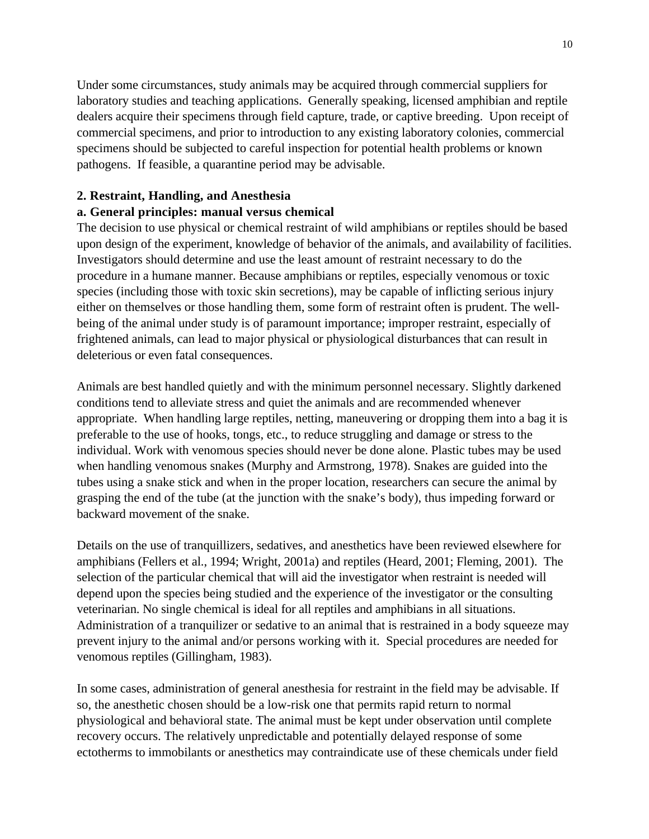Under some circumstances, study animals may be acquired through commercial suppliers for laboratory studies and teaching applications. Generally speaking, licensed amphibian and reptile dealers acquire their specimens through field capture, trade, or captive breeding. Upon receipt of commercial specimens, and prior to introduction to any existing laboratory colonies, commercial specimens should be subjected to careful inspection for potential health problems or known pathogens. If feasible, a quarantine period may be advisable.

## **2. Restraint, Handling, and Anesthesia**

## **a. General principles: manual versus chemical**

The decision to use physical or chemical restraint of wild amphibians or reptiles should be based upon design of the experiment, knowledge of behavior of the animals, and availability of facilities. Investigators should determine and use the least amount of restraint necessary to do the procedure in a humane manner. Because amphibians or reptiles, especially venomous or toxic species (including those with toxic skin secretions), may be capable of inflicting serious injury either on themselves or those handling them, some form of restraint often is prudent. The wellbeing of the animal under study is of paramount importance; improper restraint, especially of frightened animals, can lead to major physical or physiological disturbances that can result in deleterious or even fatal consequences.

Animals are best handled quietly and with the minimum personnel necessary. Slightly darkened conditions tend to alleviate stress and quiet the animals and are recommended whenever appropriate. When handling large reptiles, netting, maneuvering or dropping them into a bag it is preferable to the use of hooks, tongs, etc., to reduce struggling and damage or stress to the individual. Work with venomous species should never be done alone. Plastic tubes may be used when handling venomous snakes (Murphy and Armstrong, 1978). Snakes are guided into the tubes using a snake stick and when in the proper location, researchers can secure the animal by grasping the end of the tube (at the junction with the snake's body), thus impeding forward or backward movement of the snake.

Details on the use of tranquillizers, sedatives, and anesthetics have been reviewed elsewhere for amphibians (Fellers et al., 1994; Wright, 2001a) and reptiles (Heard, 2001; Fleming, 2001). The selection of the particular chemical that will aid the investigator when restraint is needed will depend upon the species being studied and the experience of the investigator or the consulting veterinarian. No single chemical is ideal for all reptiles and amphibians in all situations. Administration of a tranquilizer or sedative to an animal that is restrained in a body squeeze may prevent injury to the animal and/or persons working with it. Special procedures are needed for venomous reptiles (Gillingham, 1983).

In some cases, administration of general anesthesia for restraint in the field may be advisable. If so, the anesthetic chosen should be a low-risk one that permits rapid return to normal physiological and behavioral state. The animal must be kept under observation until complete recovery occurs. The relatively unpredictable and potentially delayed response of some ectotherms to immobilants or anesthetics may contraindicate use of these chemicals under field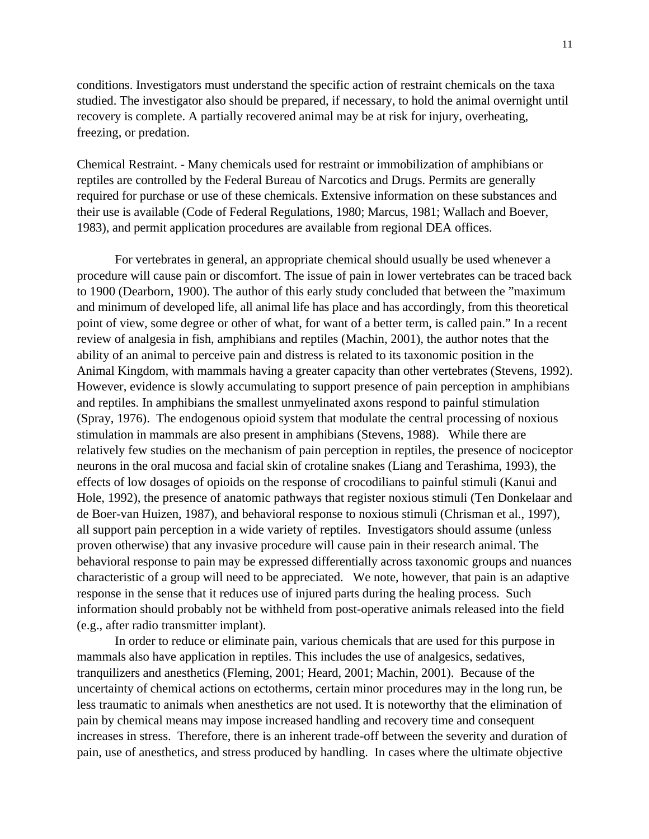conditions. Investigators must understand the specific action of restraint chemicals on the taxa studied. The investigator also should be prepared, if necessary, to hold the animal overnight until recovery is complete. A partially recovered animal may be at risk for injury, overheating, freezing, or predation.

Chemical Restraint. - Many chemicals used for restraint or immobilization of amphibians or reptiles are controlled by the Federal Bureau of Narcotics and Drugs. Permits are generally required for purchase or use of these chemicals. Extensive information on these substances and their use is available (Code of Federal Regulations, 1980; Marcus, 1981; Wallach and Boever, 1983), and permit application procedures are available from regional DEA offices.

For vertebrates in general, an appropriate chemical should usually be used whenever a procedure will cause pain or discomfort. The issue of pain in lower vertebrates can be traced back to 1900 (Dearborn, 1900). The author of this early study concluded that between the "maximum and minimum of developed life, all animal life has place and has accordingly, from this theoretical point of view, some degree or other of what, for want of a better term, is called pain." In a recent review of analgesia in fish, amphibians and reptiles (Machin, 2001), the author notes that the ability of an animal to perceive pain and distress is related to its taxonomic position in the Animal Kingdom, with mammals having a greater capacity than other vertebrates (Stevens, 1992). However, evidence is slowly accumulating to support presence of pain perception in amphibians and reptiles. In amphibians the smallest unmyelinated axons respond to painful stimulation (Spray, 1976). The endogenous opioid system that modulate the central processing of noxious stimulation in mammals are also present in amphibians (Stevens, 1988). While there are relatively few studies on the mechanism of pain perception in reptiles, the presence of nociceptor neurons in the oral mucosa and facial skin of crotaline snakes (Liang and Terashima, 1993), the effects of low dosages of opioids on the response of crocodilians to painful stimuli (Kanui and Hole, 1992), the presence of anatomic pathways that register noxious stimuli (Ten Donkelaar and de Boer-van Huizen, 1987), and behavioral response to noxious stimuli (Chrisman et al., 1997), all support pain perception in a wide variety of reptiles. Investigators should assume (unless proven otherwise) that any invasive procedure will cause pain in their research animal. The behavioral response to pain may be expressed differentially across taxonomic groups and nuances characteristic of a group will need to be appreciated. We note, however, that pain is an adaptive response in the sense that it reduces use of injured parts during the healing process. Such information should probably not be withheld from post-operative animals released into the field (e.g., after radio transmitter implant).

In order to reduce or eliminate pain, various chemicals that are used for this purpose in mammals also have application in reptiles. This includes the use of analgesics, sedatives, tranquilizers and anesthetics (Fleming, 2001; Heard, 2001; Machin, 2001). Because of the uncertainty of chemical actions on ectotherms, certain minor procedures may in the long run, be less traumatic to animals when anesthetics are not used. It is noteworthy that the elimination of pain by chemical means may impose increased handling and recovery time and consequent increases in stress. Therefore, there is an inherent trade-off between the severity and duration of pain, use of anesthetics, and stress produced by handling. In cases where the ultimate objective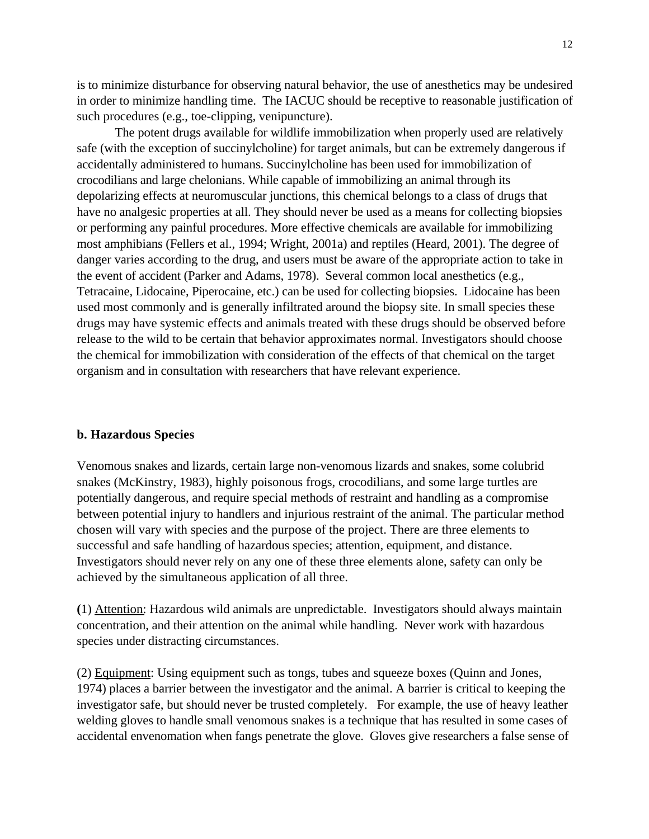is to minimize disturbance for observing natural behavior, the use of anesthetics may be undesired in order to minimize handling time. The IACUC should be receptive to reasonable justification of such procedures (e.g., toe-clipping, venipuncture).

The potent drugs available for wildlife immobilization when properly used are relatively safe (with the exception of succinylcholine) for target animals, but can be extremely dangerous if accidentally administered to humans. Succinylcholine has been used for immobilization of crocodilians and large chelonians. While capable of immobilizing an animal through its depolarizing effects at neuromuscular junctions, this chemical belongs to a class of drugs that have no analgesic properties at all. They should never be used as a means for collecting biopsies or performing any painful procedures. More effective chemicals are available for immobilizing most amphibians (Fellers et al., 1994; Wright, 2001a) and reptiles (Heard, 2001). The degree of danger varies according to the drug, and users must be aware of the appropriate action to take in the event of accident (Parker and Adams, 1978). Several common local anesthetics (e.g., Tetracaine, Lidocaine, Piperocaine, etc.) can be used for collecting biopsies. Lidocaine has been used most commonly and is generally infiltrated around the biopsy site. In small species these drugs may have systemic effects and animals treated with these drugs should be observed before release to the wild to be certain that behavior approximates normal. Investigators should choose the chemical for immobilization with consideration of the effects of that chemical on the target organism and in consultation with researchers that have relevant experience.

#### **b. Hazardous Species**

Venomous snakes and lizards, certain large non-venomous lizards and snakes, some colubrid snakes (McKinstry, 1983), highly poisonous frogs, crocodilians, and some large turtles are potentially dangerous, and require special methods of restraint and handling as a compromise between potential injury to handlers and injurious restraint of the animal. The particular method chosen will vary with species and the purpose of the project. There are three elements to successful and safe handling of hazardous species; attention, equipment, and distance. Investigators should never rely on any one of these three elements alone, safety can only be achieved by the simultaneous application of all three.

**(**1) Attention: Hazardous wild animals are unpredictable. Investigators should always maintain concentration, and their attention on the animal while handling. Never work with hazardous species under distracting circumstances.

(2) Equipment: Using equipment such as tongs, tubes and squeeze boxes (Quinn and Jones, 1974) places a barrier between the investigator and the animal. A barrier is critical to keeping the investigator safe, but should never be trusted completely. For example, the use of heavy leather welding gloves to handle small venomous snakes is a technique that has resulted in some cases of accidental envenomation when fangs penetrate the glove. Gloves give researchers a false sense of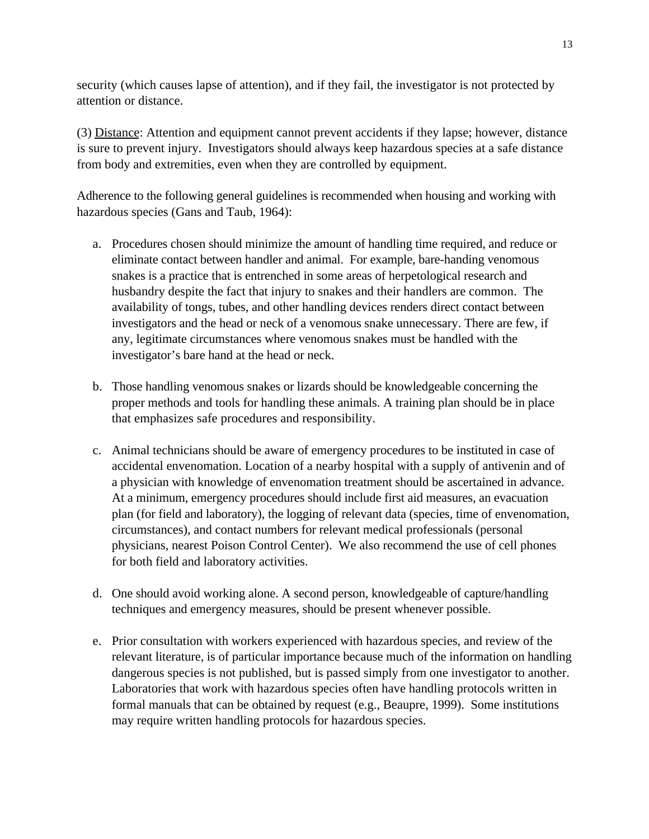security (which causes lapse of attention), and if they fail, the investigator is not protected by attention or distance.

(3) Distance: Attention and equipment cannot prevent accidents if they lapse; however, distance is sure to prevent injury. Investigators should always keep hazardous species at a safe distance from body and extremities, even when they are controlled by equipment.

Adherence to the following general guidelines is recommended when housing and working with hazardous species (Gans and Taub, 1964):

- a. Procedures chosen should minimize the amount of handling time required, and reduce or eliminate contact between handler and animal. For example, bare-handing venomous snakes is a practice that is entrenched in some areas of herpetological research and husbandry despite the fact that injury to snakes and their handlers are common. The availability of tongs, tubes, and other handling devices renders direct contact between investigators and the head or neck of a venomous snake unnecessary. There are few, if any, legitimate circumstances where venomous snakes must be handled with the investigator's bare hand at the head or neck.
- b. Those handling venomous snakes or lizards should be knowledgeable concerning the proper methods and tools for handling these animals. A training plan should be in place that emphasizes safe procedures and responsibility.
- c. Animal technicians should be aware of emergency procedures to be instituted in case of accidental envenomation. Location of a nearby hospital with a supply of antivenin and of a physician with knowledge of envenomation treatment should be ascertained in advance. At a minimum, emergency procedures should include first aid measures, an evacuation plan (for field and laboratory), the logging of relevant data (species, time of envenomation, circumstances), and contact numbers for relevant medical professionals (personal physicians, nearest Poison Control Center). We also recommend the use of cell phones for both field and laboratory activities.
- d. One should avoid working alone. A second person, knowledgeable of capture/handling techniques and emergency measures, should be present whenever possible.
- e. Prior consultation with workers experienced with hazardous species, and review of the relevant literature, is of particular importance because much of the information on handling dangerous species is not published, but is passed simply from one investigator to another. Laboratories that work with hazardous species often have handling protocols written in formal manuals that can be obtained by request (e.g., Beaupre, 1999). Some institutions may require written handling protocols for hazardous species.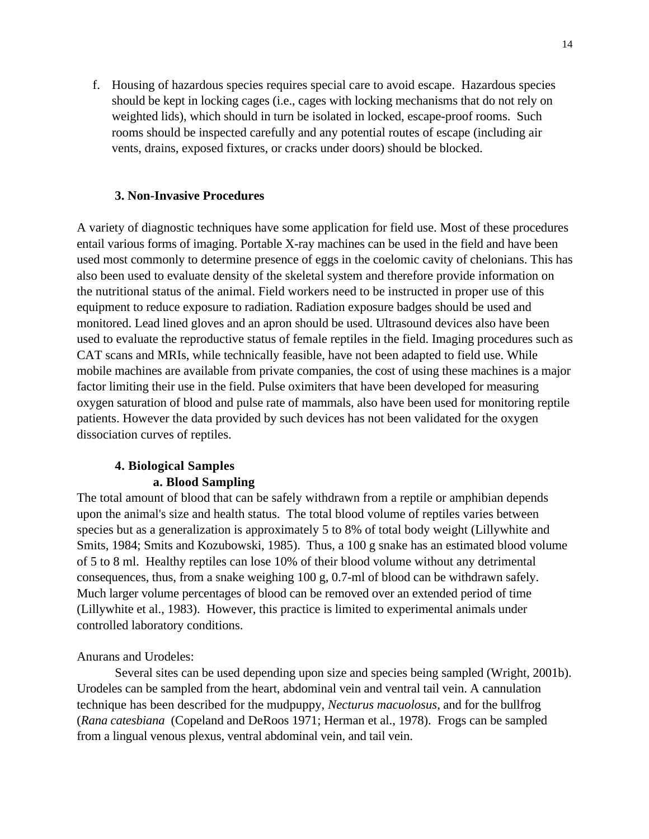f. Housing of hazardous species requires special care to avoid escape. Hazardous species should be kept in locking cages (i.e., cages with locking mechanisms that do not rely on weighted lids), which should in turn be isolated in locked, escape-proof rooms. Such rooms should be inspected carefully and any potential routes of escape (including air vents, drains, exposed fixtures, or cracks under doors) should be blocked.

#### **3. Non-Invasive Procedures**

A variety of diagnostic techniques have some application for field use. Most of these procedures entail various forms of imaging. Portable X-ray machines can be used in the field and have been used most commonly to determine presence of eggs in the coelomic cavity of chelonians. This has also been used to evaluate density of the skeletal system and therefore provide information on the nutritional status of the animal. Field workers need to be instructed in proper use of this equipment to reduce exposure to radiation. Radiation exposure badges should be used and monitored. Lead lined gloves and an apron should be used. Ultrasound devices also have been used to evaluate the reproductive status of female reptiles in the field. Imaging procedures such as CAT scans and MRIs, while technically feasible, have not been adapted to field use. While mobile machines are available from private companies, the cost of using these machines is a major factor limiting their use in the field. Pulse oximiters that have been developed for measuring oxygen saturation of blood and pulse rate of mammals, also have been used for monitoring reptile patients. However the data provided by such devices has not been validated for the oxygen dissociation curves of reptiles.

## **4. Biological Samples a. Blood Sampling**

The total amount of blood that can be safely withdrawn from a reptile or amphibian depends upon the animal's size and health status. The total blood volume of reptiles varies between species but as a generalization is approximately 5 to 8% of total body weight (Lillywhite and Smits, 1984; Smits and Kozubowski, 1985). Thus, a 100 g snake has an estimated blood volume of 5 to 8 ml. Healthy reptiles can lose 10% of their blood volume without any detrimental consequences, thus, from a snake weighing 100 g, 0.7-ml of blood can be withdrawn safely. Much larger volume percentages of blood can be removed over an extended period of time (Lillywhite et al., 1983). However, this practice is limited to experimental animals under controlled laboratory conditions.

## Anurans and Urodeles:

Several sites can be used depending upon size and species being sampled (Wright, 2001b). Urodeles can be sampled from the heart, abdominal vein and ventral tail vein. A cannulation technique has been described for the mudpuppy, *Necturus macuolosus*, and for the bullfrog (*Rana catesbiana* (Copeland and DeRoos 1971; Herman et al., 1978). Frogs can be sampled from a lingual venous plexus, ventral abdominal vein, and tail vein.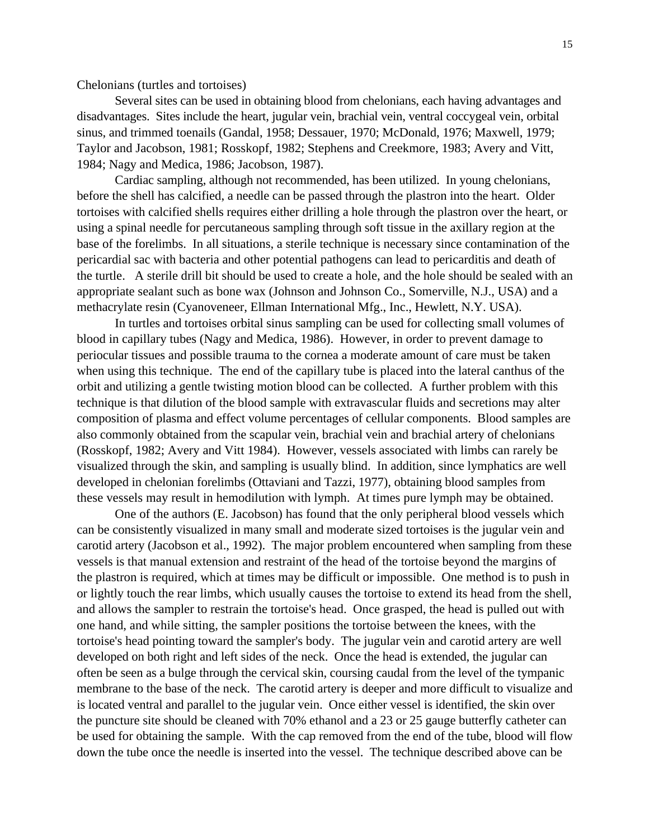Chelonians (turtles and tortoises)

Several sites can be used in obtaining blood from chelonians, each having advantages and disadvantages. Sites include the heart, jugular vein, brachial vein, ventral coccygeal vein, orbital sinus, and trimmed toenails (Gandal, 1958; Dessauer, 1970; McDonald, 1976; Maxwell, 1979; Taylor and Jacobson, 1981; Rosskopf, 1982; Stephens and Creekmore, 1983; Avery and Vitt, 1984; Nagy and Medica, 1986; Jacobson, 1987).

Cardiac sampling, although not recommended, has been utilized. In young chelonians, before the shell has calcified, a needle can be passed through the plastron into the heart. Older tortoises with calcified shells requires either drilling a hole through the plastron over the heart, or using a spinal needle for percutaneous sampling through soft tissue in the axillary region at the base of the forelimbs. In all situations, a sterile technique is necessary since contamination of the pericardial sac with bacteria and other potential pathogens can lead to pericarditis and death of the turtle. A sterile drill bit should be used to create a hole, and the hole should be sealed with an appropriate sealant such as bone wax (Johnson and Johnson Co., Somerville, N.J., USA) and a methacrylate resin (Cyanoveneer, Ellman International Mfg., Inc., Hewlett, N.Y. USA).

In turtles and tortoises orbital sinus sampling can be used for collecting small volumes of blood in capillary tubes (Nagy and Medica, 1986). However, in order to prevent damage to periocular tissues and possible trauma to the cornea a moderate amount of care must be taken when using this technique. The end of the capillary tube is placed into the lateral canthus of the orbit and utilizing a gentle twisting motion blood can be collected. A further problem with this technique is that dilution of the blood sample with extravascular fluids and secretions may alter composition of plasma and effect volume percentages of cellular components. Blood samples are also commonly obtained from the scapular vein, brachial vein and brachial artery of chelonians (Rosskopf, 1982; Avery and Vitt 1984). However, vessels associated with limbs can rarely be visualized through the skin, and sampling is usually blind. In addition, since lymphatics are well developed in chelonian forelimbs (Ottaviani and Tazzi, 1977), obtaining blood samples from these vessels may result in hemodilution with lymph. At times pure lymph may be obtained.

One of the authors (E. Jacobson) has found that the only peripheral blood vessels which can be consistently visualized in many small and moderate sized tortoises is the jugular vein and carotid artery (Jacobson et al., 1992). The major problem encountered when sampling from these vessels is that manual extension and restraint of the head of the tortoise beyond the margins of the plastron is required, which at times may be difficult or impossible. One method is to push in or lightly touch the rear limbs, which usually causes the tortoise to extend its head from the shell, and allows the sampler to restrain the tortoise's head. Once grasped, the head is pulled out with one hand, and while sitting, the sampler positions the tortoise between the knees, with the tortoise's head pointing toward the sampler's body. The jugular vein and carotid artery are well developed on both right and left sides of the neck. Once the head is extended, the jugular can often be seen as a bulge through the cervical skin, coursing caudal from the level of the tympanic membrane to the base of the neck. The carotid artery is deeper and more difficult to visualize and is located ventral and parallel to the jugular vein. Once either vessel is identified, the skin over the puncture site should be cleaned with 70% ethanol and a 23 or 25 gauge butterfly catheter can be used for obtaining the sample. With the cap removed from the end of the tube, blood will flow down the tube once the needle is inserted into the vessel. The technique described above can be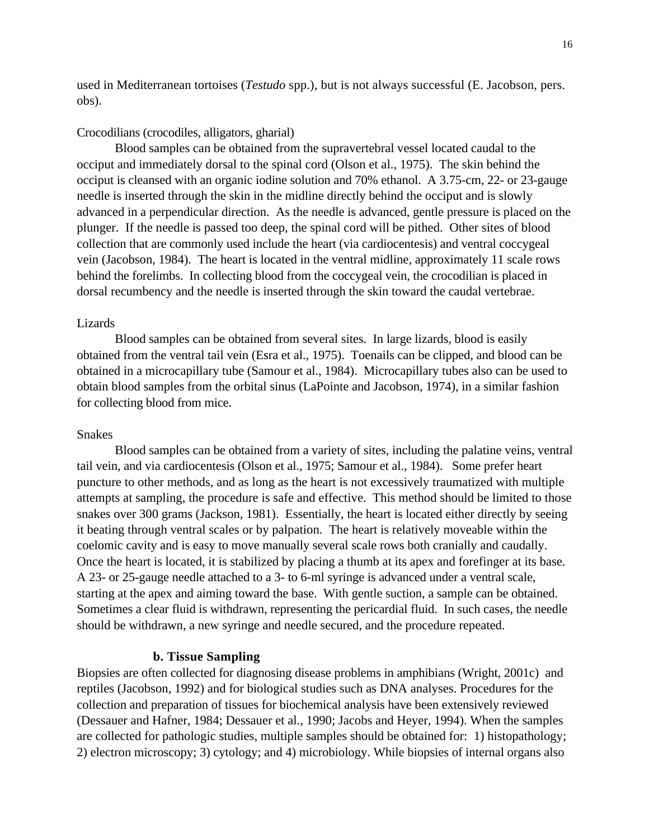used in Mediterranean tortoises (*Testudo* spp.), but is not always successful (E. Jacobson, pers. obs).

#### Crocodilians (crocodiles, alligators, gharial)

Blood samples can be obtained from the supravertebral vessel located caudal to the occiput and immediately dorsal to the spinal cord (Olson et al., 1975). The skin behind the occiput is cleansed with an organic iodine solution and 70% ethanol. A 3.75-cm, 22- or 23-gauge needle is inserted through the skin in the midline directly behind the occiput and is slowly advanced in a perpendicular direction. As the needle is advanced, gentle pressure is placed on the plunger. If the needle is passed too deep, the spinal cord will be pithed. Other sites of blood collection that are commonly used include the heart (via cardiocentesis) and ventral coccygeal vein (Jacobson, 1984). The heart is located in the ventral midline, approximately 11 scale rows behind the forelimbs. In collecting blood from the coccygeal vein, the crocodilian is placed in dorsal recumbency and the needle is inserted through the skin toward the caudal vertebrae.

#### Lizards

Blood samples can be obtained from several sites. In large lizards, blood is easily obtained from the ventral tail vein (Esra et al., 1975). Toenails can be clipped, and blood can be obtained in a microcapillary tube (Samour et al., 1984). Microcapillary tubes also can be used to obtain blood samples from the orbital sinus (LaPointe and Jacobson, 1974), in a similar fashion for collecting blood from mice.

#### Snakes

Blood samples can be obtained from a variety of sites, including the palatine veins, ventral tail vein, and via cardiocentesis (Olson et al., 1975; Samour et al., 1984). Some prefer heart puncture to other methods, and as long as the heart is not excessively traumatized with multiple attempts at sampling, the procedure is safe and effective. This method should be limited to those snakes over 300 grams (Jackson, 1981). Essentially, the heart is located either directly by seeing it beating through ventral scales or by palpation. The heart is relatively moveable within the coelomic cavity and is easy to move manually several scale rows both cranially and caudally. Once the heart is located, it is stabilized by placing a thumb at its apex and forefinger at its base. A 23- or 25-gauge needle attached to a 3- to 6-ml syringe is advanced under a ventral scale, starting at the apex and aiming toward the base. With gentle suction, a sample can be obtained. Sometimes a clear fluid is withdrawn, representing the pericardial fluid. In such cases, the needle should be withdrawn, a new syringe and needle secured, and the procedure repeated.

#### **b. Tissue Sampling**

Biopsies are often collected for diagnosing disease problems in amphibians (Wright, 2001c) and reptiles (Jacobson, 1992) and for biological studies such as DNA analyses. Procedures for the collection and preparation of tissues for biochemical analysis have been extensively reviewed (Dessauer and Hafner, 1984; Dessauer et al., 1990; Jacobs and Heyer, 1994). When the samples are collected for pathologic studies, multiple samples should be obtained for: 1) histopathology; 2) electron microscopy; 3) cytology; and 4) microbiology. While biopsies of internal organs also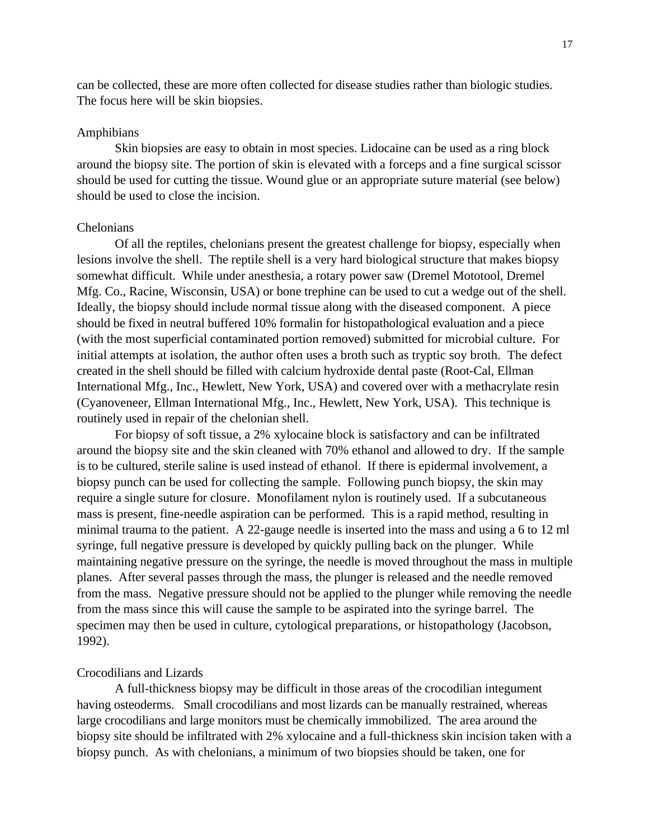can be collected, these are more often collected for disease studies rather than biologic studies. The focus here will be skin biopsies.

#### Amphibians

Skin biopsies are easy to obtain in most species. Lidocaine can be used as a ring block around the biopsy site. The portion of skin is elevated with a forceps and a fine surgical scissor should be used for cutting the tissue. Wound glue or an appropriate suture material (see below) should be used to close the incision.

### Chelonians

Of all the reptiles, chelonians present the greatest challenge for biopsy, especially when lesions involve the shell. The reptile shell is a very hard biological structure that makes biopsy somewhat difficult. While under anesthesia, a rotary power saw (Dremel Mototool, Dremel Mfg. Co., Racine, Wisconsin, USA) or bone trephine can be used to cut a wedge out of the shell. Ideally, the biopsy should include normal tissue along with the diseased component. A piece should be fixed in neutral buffered 10% formalin for histopathological evaluation and a piece (with the most superficial contaminated portion removed) submitted for microbial culture. For initial attempts at isolation, the author often uses a broth such as tryptic soy broth. The defect created in the shell should be filled with calcium hydroxide dental paste (Root-Cal, Ellman International Mfg., Inc., Hewlett, New York, USA) and covered over with a methacrylate resin (Cyanoveneer, Ellman International Mfg., Inc., Hewlett, New York, USA). This technique is routinely used in repair of the chelonian shell.

For biopsy of soft tissue, a 2% xylocaine block is satisfactory and can be infiltrated around the biopsy site and the skin cleaned with 70% ethanol and allowed to dry. If the sample is to be cultured, sterile saline is used instead of ethanol. If there is epidermal involvement, a biopsy punch can be used for collecting the sample. Following punch biopsy, the skin may require a single suture for closure. Monofilament nylon is routinely used. If a subcutaneous mass is present, fine-needle aspiration can be performed. This is a rapid method, resulting in minimal trauma to the patient. A 22-gauge needle is inserted into the mass and using a 6 to 12 ml syringe, full negative pressure is developed by quickly pulling back on the plunger. While maintaining negative pressure on the syringe, the needle is moved throughout the mass in multiple planes. After several passes through the mass, the plunger is released and the needle removed from the mass. Negative pressure should not be applied to the plunger while removing the needle from the mass since this will cause the sample to be aspirated into the syringe barrel. The specimen may then be used in culture, cytological preparations, or histopathology (Jacobson, 1992).

### Crocodilians and Lizards

A full-thickness biopsy may be difficult in those areas of the crocodilian integument having osteoderms. Small crocodilians and most lizards can be manually restrained, whereas large crocodilians and large monitors must be chemically immobilized. The area around the biopsy site should be infiltrated with 2% xylocaine and a full-thickness skin incision taken with a biopsy punch. As with chelonians, a minimum of two biopsies should be taken, one for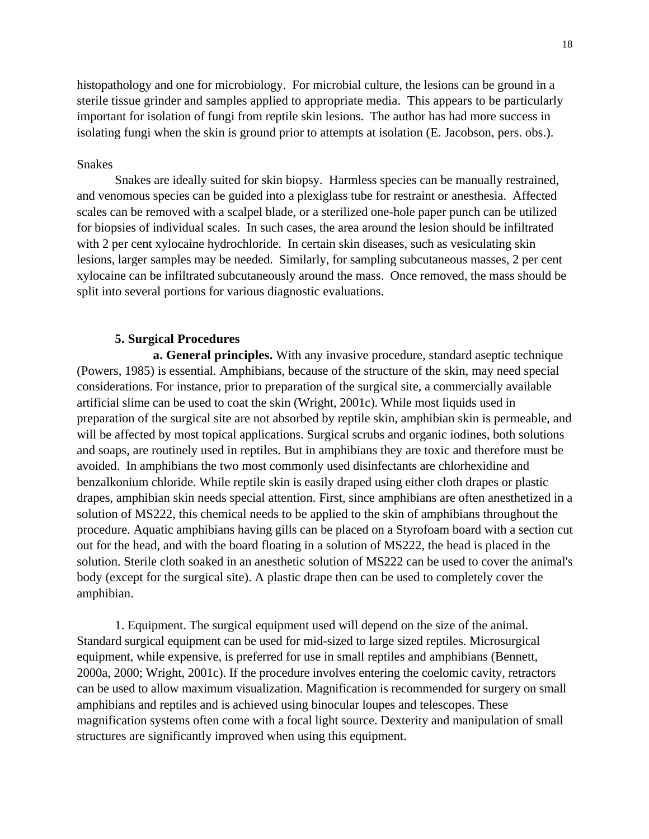histopathology and one for microbiology. For microbial culture, the lesions can be ground in a sterile tissue grinder and samples applied to appropriate media. This appears to be particularly important for isolation of fungi from reptile skin lesions. The author has had more success in isolating fungi when the skin is ground prior to attempts at isolation (E. Jacobson, pers. obs.).

## Snakes

Snakes are ideally suited for skin biopsy. Harmless species can be manually restrained, and venomous species can be guided into a plexiglass tube for restraint or anesthesia. Affected scales can be removed with a scalpel blade, or a sterilized one-hole paper punch can be utilized for biopsies of individual scales. In such cases, the area around the lesion should be infiltrated with 2 per cent xylocaine hydrochloride. In certain skin diseases, such as vesiculating skin lesions, larger samples may be needed. Similarly, for sampling subcutaneous masses, 2 per cent xylocaine can be infiltrated subcutaneously around the mass. Once removed, the mass should be split into several portions for various diagnostic evaluations.

### **5. Surgical Procedures**

**a. General principles.** With any invasive procedure, standard aseptic technique (Powers, 1985) is essential. Amphibians, because of the structure of the skin, may need special considerations. For instance, prior to preparation of the surgical site, a commercially available artificial slime can be used to coat the skin (Wright, 2001c). While most liquids used in preparation of the surgical site are not absorbed by reptile skin, amphibian skin is permeable, and will be affected by most topical applications. Surgical scrubs and organic iodines, both solutions and soaps, are routinely used in reptiles. But in amphibians they are toxic and therefore must be avoided. In amphibians the two most commonly used disinfectants are chlorhexidine and benzalkonium chloride. While reptile skin is easily draped using either cloth drapes or plastic drapes, amphibian skin needs special attention. First, since amphibians are often anesthetized in a solution of MS222, this chemical needs to be applied to the skin of amphibians throughout the procedure. Aquatic amphibians having gills can be placed on a Styrofoam board with a section cut out for the head, and with the board floating in a solution of MS222, the head is placed in the solution. Sterile cloth soaked in an anesthetic solution of MS222 can be used to cover the animal's body (except for the surgical site). A plastic drape then can be used to completely cover the amphibian.

1. Equipment. The surgical equipment used will depend on the size of the animal. Standard surgical equipment can be used for mid-sized to large sized reptiles. Microsurgical equipment, while expensive, is preferred for use in small reptiles and amphibians (Bennett, 2000a, 2000; Wright, 2001c). If the procedure involves entering the coelomic cavity, retractors can be used to allow maximum visualization. Magnification is recommended for surgery on small amphibians and reptiles and is achieved using binocular loupes and telescopes. These magnification systems often come with a focal light source. Dexterity and manipulation of small structures are significantly improved when using this equipment.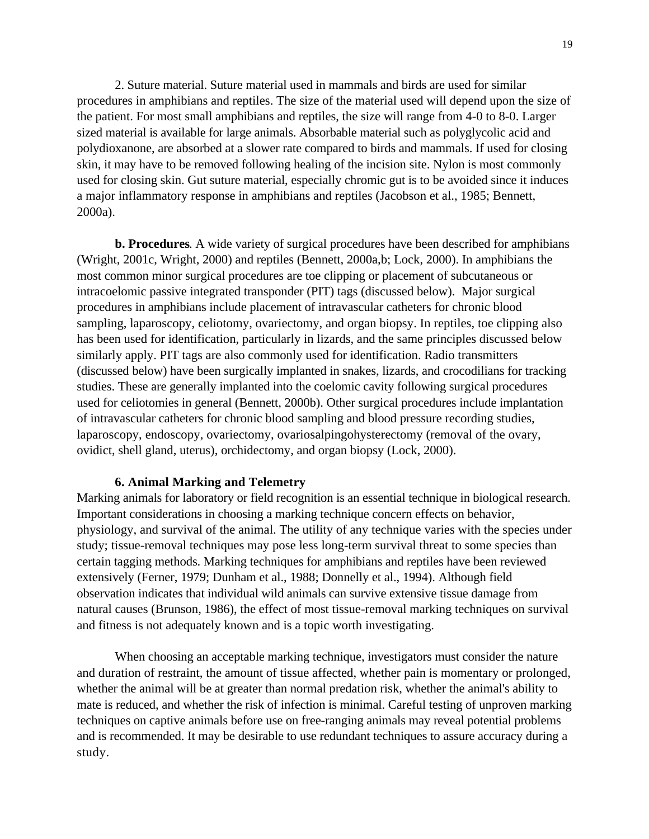2. Suture material. Suture material used in mammals and birds are used for similar procedures in amphibians and reptiles. The size of the material used will depend upon the size of the patient. For most small amphibians and reptiles, the size will range from 4-0 to 8-0. Larger sized material is available for large animals. Absorbable material such as polyglycolic acid and polydioxanone, are absorbed at a slower rate compared to birds and mammals. If used for closing skin, it may have to be removed following healing of the incision site. Nylon is most commonly used for closing skin. Gut suture material, especially chromic gut is to be avoided since it induces a major inflammatory response in amphibians and reptiles (Jacobson et al., 1985; Bennett, 2000a).

**b. Procedures**. A wide variety of surgical procedures have been described for amphibians (Wright, 2001c, Wright, 2000) and reptiles (Bennett, 2000a,b; Lock, 2000). In amphibians the most common minor surgical procedures are toe clipping or placement of subcutaneous or intracoelomic passive integrated transponder (PIT) tags (discussed below). Major surgical procedures in amphibians include placement of intravascular catheters for chronic blood sampling, laparoscopy, celiotomy, ovariectomy, and organ biopsy. In reptiles, toe clipping also has been used for identification, particularly in lizards, and the same principles discussed below similarly apply. PIT tags are also commonly used for identification. Radio transmitters (discussed below) have been surgically implanted in snakes, lizards, and crocodilians for tracking studies. These are generally implanted into the coelomic cavity following surgical procedures used for celiotomies in general (Bennett, 2000b). Other surgical procedures include implantation of intravascular catheters for chronic blood sampling and blood pressure recording studies, laparoscopy, endoscopy, ovariectomy, ovariosalpingohysterectomy (removal of the ovary, ovidict, shell gland, uterus), orchidectomy, and organ biopsy (Lock, 2000).

### **6. Animal Marking and Telemetry**

Marking animals for laboratory or field recognition is an essential technique in biological research. Important considerations in choosing a marking technique concern effects on behavior, physiology, and survival of the animal. The utility of any technique varies with the species under study; tissue-removal techniques may pose less long-term survival threat to some species than certain tagging methods. Marking techniques for amphibians and reptiles have been reviewed extensively (Ferner, 1979; Dunham et al., 1988; Donnelly et al., 1994). Although field observation indicates that individual wild animals can survive extensive tissue damage from natural causes (Brunson, 1986), the effect of most tissue-removal marking techniques on survival and fitness is not adequately known and is a topic worth investigating.

When choosing an acceptable marking technique, investigators must consider the nature and duration of restraint, the amount of tissue affected, whether pain is momentary or prolonged, whether the animal will be at greater than normal predation risk, whether the animal's ability to mate is reduced, and whether the risk of infection is minimal. Careful testing of unproven marking techniques on captive animals before use on free-ranging animals may reveal potential problems and is recommended. It may be desirable to use redundant techniques to assure accuracy during a study.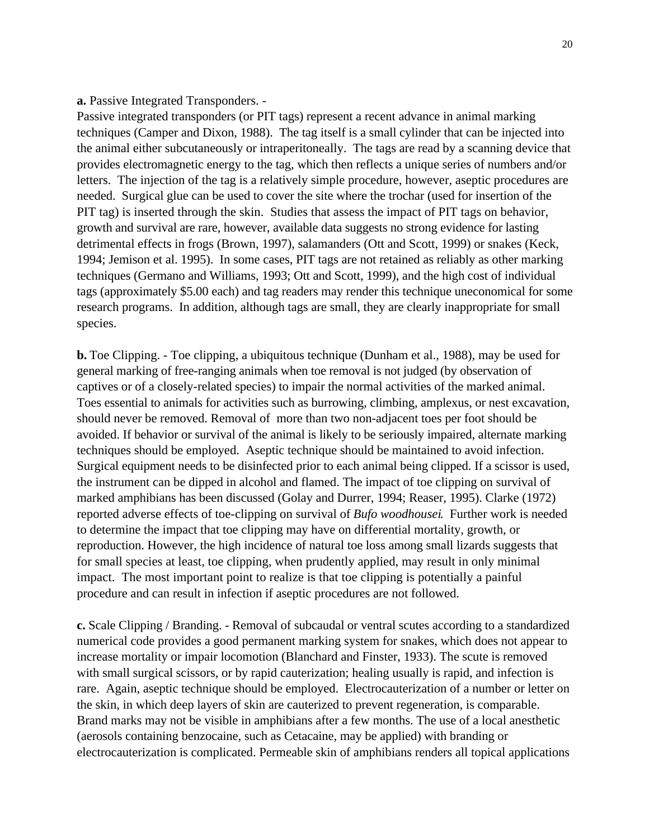## **a.** Passive Integrated Transponders. -

Passive integrated transponders (or PIT tags) represent a recent advance in animal marking techniques (Camper and Dixon, 1988). The tag itself is a small cylinder that can be injected into the animal either subcutaneously or intraperitoneally. The tags are read by a scanning device that provides electromagnetic energy to the tag, which then reflects a unique series of numbers and/or letters. The injection of the tag is a relatively simple procedure, however, aseptic procedures are needed. Surgical glue can be used to cover the site where the trochar (used for insertion of the PIT tag) is inserted through the skin. Studies that assess the impact of PIT tags on behavior, growth and survival are rare, however, available data suggests no strong evidence for lasting detrimental effects in frogs (Brown, 1997), salamanders (Ott and Scott, 1999) or snakes (Keck, 1994; Jemison et al. 1995). In some cases, PIT tags are not retained as reliably as other marking techniques (Germano and Williams, 1993; Ott and Scott, 1999), and the high cost of individual tags (approximately \$5.00 each) and tag readers may render this technique uneconomical for some research programs. In addition, although tags are small, they are clearly inappropriate for small species.

**b.** Toe Clipping. - Toe clipping, a ubiquitous technique (Dunham et al., 1988), may be used for general marking of free-ranging animals when toe removal is not judged (by observation of captives or of a closely-related species) to impair the normal activities of the marked animal. Toes essential to animals for activities such as burrowing, climbing, amplexus, or nest excavation, should never be removed. Removal of more than two non-adjacent toes per foot should be avoided. If behavior or survival of the animal is likely to be seriously impaired, alternate marking techniques should be employed. Aseptic technique should be maintained to avoid infection. Surgical equipment needs to be disinfected prior to each animal being clipped. If a scissor is used, the instrument can be dipped in alcohol and flamed. The impact of toe clipping on survival of marked amphibians has been discussed (Golay and Durrer, 1994; Reaser, 1995). Clarke (1972) reported adverse effects of toe-clipping on survival of *Bufo woodhousei*. Further work is needed to determine the impact that toe clipping may have on differential mortality, growth, or reproduction. However, the high incidence of natural toe loss among small lizards suggests that for small species at least, toe clipping, when prudently applied, may result in only minimal impact. The most important point to realize is that toe clipping is potentially a painful procedure and can result in infection if aseptic procedures are not followed.

**c.** Scale Clipping / Branding. - Removal of subcaudal or ventral scutes according to a standardized numerical code provides a good permanent marking system for snakes, which does not appear to increase mortality or impair locomotion (Blanchard and Finster, 1933). The scute is removed with small surgical scissors, or by rapid cauterization; healing usually is rapid, and infection is rare. Again, aseptic technique should be employed. Electrocauterization of a number or letter on the skin, in which deep layers of skin are cauterized to prevent regeneration, is comparable. Brand marks may not be visible in amphibians after a few months. The use of a local anesthetic (aerosols containing benzocaine, such as Cetacaine, may be applied) with branding or electrocauterization is complicated. Permeable skin of amphibians renders all topical applications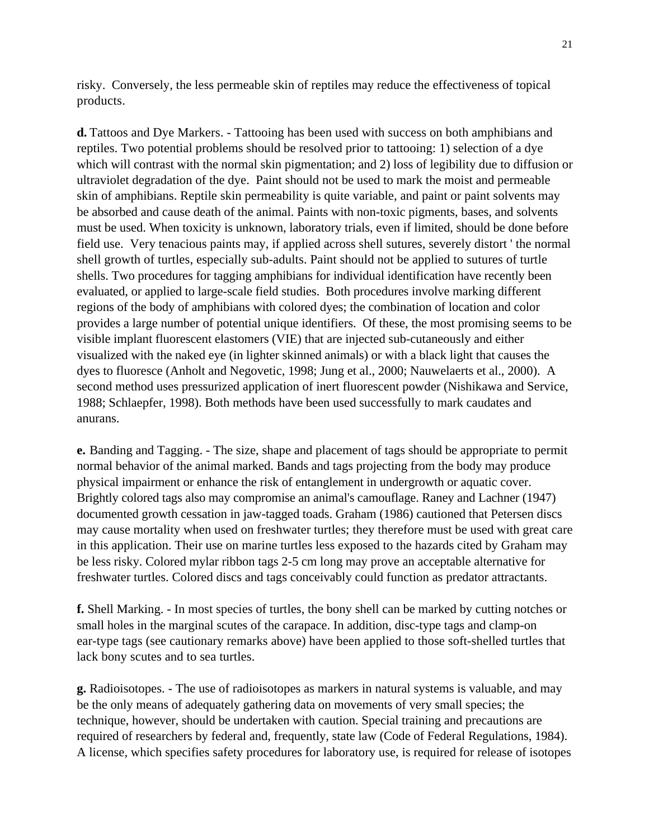risky. Conversely, the less permeable skin of reptiles may reduce the effectiveness of topical products.

**d.** Tattoos and Dye Markers. - Tattooing has been used with success on both amphibians and reptiles. Two potential problems should be resolved prior to tattooing: 1) selection of a dye which will contrast with the normal skin pigmentation; and 2) loss of legibility due to diffusion or ultraviolet degradation of the dye. Paint should not be used to mark the moist and permeable skin of amphibians. Reptile skin permeability is quite variable, and paint or paint solvents may be absorbed and cause death of the animal. Paints with non-toxic pigments, bases, and solvents must be used. When toxicity is unknown, laboratory trials, even if limited, should be done before field use. Very tenacious paints may, if applied across shell sutures, severely distort ' the normal shell growth of turtles, especially sub-adults. Paint should not be applied to sutures of turtle shells. Two procedures for tagging amphibians for individual identification have recently been evaluated, or applied to large-scale field studies. Both procedures involve marking different regions of the body of amphibians with colored dyes; the combination of location and color provides a large number of potential unique identifiers. Of these, the most promising seems to be visible implant fluorescent elastomers (VIE) that are injected sub-cutaneously and either visualized with the naked eye (in lighter skinned animals) or with a black light that causes the dyes to fluoresce (Anholt and Negovetic, 1998; Jung et al., 2000; Nauwelaerts et al., 2000). A second method uses pressurized application of inert fluorescent powder (Nishikawa and Service, 1988; Schlaepfer, 1998). Both methods have been used successfully to mark caudates and anurans.

**e.** Banding and Tagging. - The size, shape and placement of tags should be appropriate to permit normal behavior of the animal marked. Bands and tags projecting from the body may produce physical impairment or enhance the risk of entanglement in undergrowth or aquatic cover. Brightly colored tags also may compromise an animal's camouflage. Raney and Lachner (1947) documented growth cessation in jaw-tagged toads. Graham (1986) cautioned that Petersen discs may cause mortality when used on freshwater turtles; they therefore must be used with great care in this application. Their use on marine turtles less exposed to the hazards cited by Graham may be less risky. Colored mylar ribbon tags 2-5 cm long may prove an acceptable alternative for freshwater turtles. Colored discs and tags conceivably could function as predator attractants.

**f.** Shell Marking. - In most species of turtles, the bony shell can be marked by cutting notches or small holes in the marginal scutes of the carapace. In addition, disc-type tags and clamp-on ear-type tags (see cautionary remarks above) have been applied to those soft-shelled turtles that lack bony scutes and to sea turtles.

**g.** Radioisotopes. - The use of radioisotopes as markers in natural systems is valuable, and may be the only means of adequately gathering data on movements of very small species; the technique, however, should be undertaken with caution. Special training and precautions are required of researchers by federal and, frequently, state law (Code of Federal Regulations, 1984). A license, which specifies safety procedures for laboratory use, is required for release of isotopes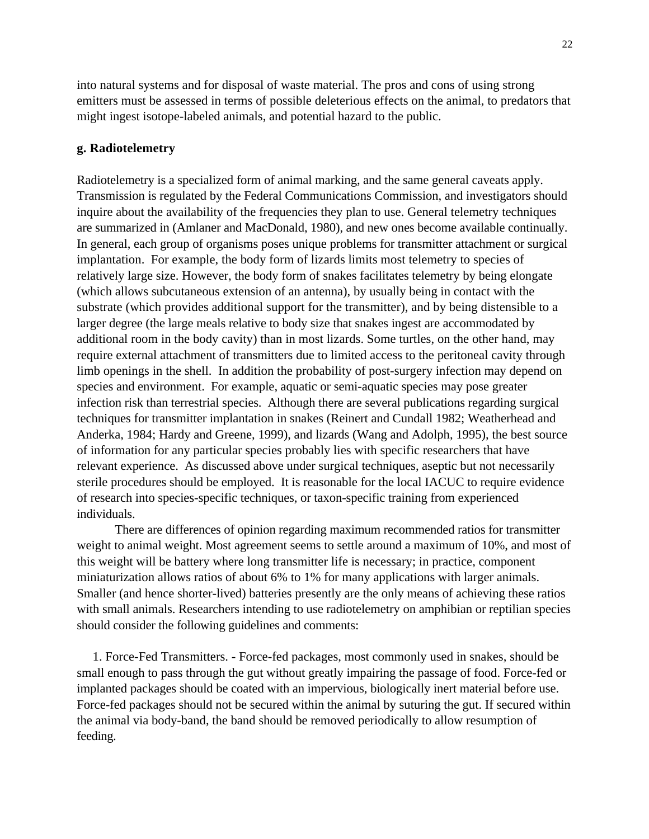into natural systems and for disposal of waste material. The pros and cons of using strong emitters must be assessed in terms of possible deleterious effects on the animal, to predators that might ingest isotope-labeled animals, and potential hazard to the public.

### **g. Radiotelemetry**

Radiotelemetry is a specialized form of animal marking, and the same general caveats apply. Transmission is regulated by the Federal Communications Commission, and investigators should inquire about the availability of the frequencies they plan to use. General telemetry techniques are summarized in (Amlaner and MacDonald, 1980), and new ones become available continually. In general, each group of organisms poses unique problems for transmitter attachment or surgical implantation. For example, the body form of lizards limits most telemetry to species of relatively large size. However, the body form of snakes facilitates telemetry by being elongate (which allows subcutaneous extension of an antenna), by usually being in contact with the substrate (which provides additional support for the transmitter), and by being distensible to a larger degree (the large meals relative to body size that snakes ingest are accommodated by additional room in the body cavity) than in most lizards. Some turtles, on the other hand, may require external attachment of transmitters due to limited access to the peritoneal cavity through limb openings in the shell. In addition the probability of post-surgery infection may depend on species and environment. For example, aquatic or semi-aquatic species may pose greater infection risk than terrestrial species. Although there are several publications regarding surgical techniques for transmitter implantation in snakes (Reinert and Cundall 1982; Weatherhead and Anderka, 1984; Hardy and Greene, 1999), and lizards (Wang and Adolph, 1995), the best source of information for any particular species probably lies with specific researchers that have relevant experience. As discussed above under surgical techniques, aseptic but not necessarily sterile procedures should be employed. It is reasonable for the local IACUC to require evidence of research into species-specific techniques, or taxon-specific training from experienced individuals.

There are differences of opinion regarding maximum recommended ratios for transmitter weight to animal weight. Most agreement seems to settle around a maximum of 10%, and most of this weight will be battery where long transmitter life is necessary; in practice, component miniaturization allows ratios of about 6% to 1% for many applications with larger animals. Smaller (and hence shorter-lived) batteries presently are the only means of achieving these ratios with small animals. Researchers intending to use radiotelemetry on amphibian or reptilian species should consider the following guidelines and comments:

 1. Force-Fed Transmitters. - Force-fed packages, most commonly used in snakes, should be small enough to pass through the gut without greatly impairing the passage of food. Force-fed or implanted packages should be coated with an impervious, biologically inert material before use. Force-fed packages should not be secured within the animal by suturing the gut. If secured within the animal via body-band, the band should be removed periodically to allow resumption of feeding.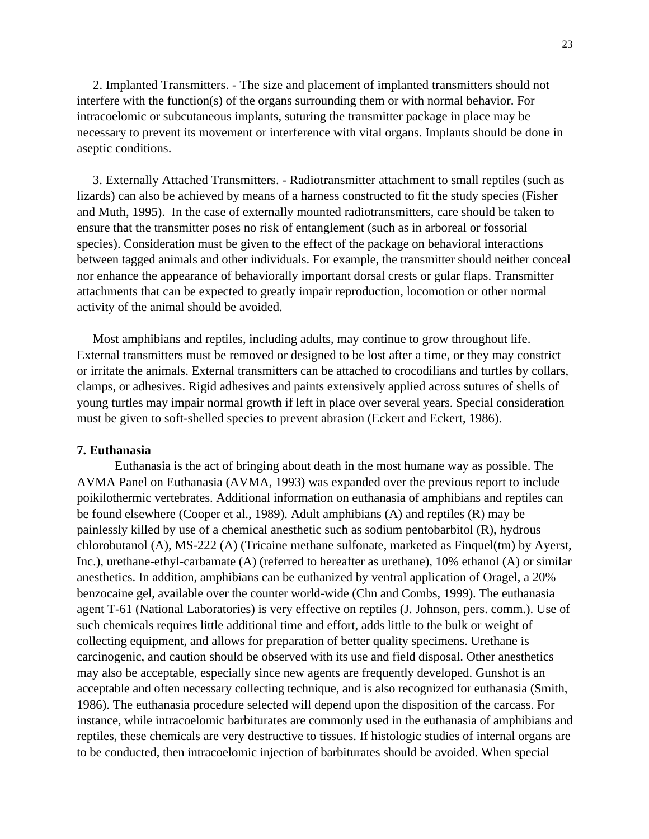2. Implanted Transmitters. - The size and placement of implanted transmitters should not interfere with the function(s) of the organs surrounding them or with normal behavior. For intracoelomic or subcutaneous implants, suturing the transmitter package in place may be necessary to prevent its movement or interference with vital organs. Implants should be done in aseptic conditions.

 3. Externally Attached Transmitters. - Radiotransmitter attachment to small reptiles (such as lizards) can also be achieved by means of a harness constructed to fit the study species (Fisher and Muth, 1995). In the case of externally mounted radiotransmitters, care should be taken to ensure that the transmitter poses no risk of entanglement (such as in arboreal or fossorial species). Consideration must be given to the effect of the package on behavioral interactions between tagged animals and other individuals. For example, the transmitter should neither conceal nor enhance the appearance of behaviorally important dorsal crests or gular flaps. Transmitter attachments that can be expected to greatly impair reproduction, locomotion or other normal activity of the animal should be avoided.

 Most amphibians and reptiles, including adults, may continue to grow throughout life. External transmitters must be removed or designed to be lost after a time, or they may constrict or irritate the animals. External transmitters can be attached to crocodilians and turtles by collars, clamps, or adhesives. Rigid adhesives and paints extensively applied across sutures of shells of young turtles may impair normal growth if left in place over several years. Special consideration must be given to soft-shelled species to prevent abrasion (Eckert and Eckert, 1986).

### **7. Euthanasia**

Euthanasia is the act of bringing about death in the most humane way as possible. The AVMA Panel on Euthanasia (AVMA, 1993) was expanded over the previous report to include poikilothermic vertebrates. Additional information on euthanasia of amphibians and reptiles can be found elsewhere (Cooper et al., 1989). Adult amphibians (A) and reptiles (R) may be painlessly killed by use of a chemical anesthetic such as sodium pentobarbitol (R), hydrous chlorobutanol (A), MS-222 (A) (Tricaine methane sulfonate, marketed as Finquel(tm) by Ayerst, Inc.), urethane-ethyl-carbamate (A) (referred to hereafter as urethane), 10% ethanol (A) or similar anesthetics. In addition, amphibians can be euthanized by ventral application of Oragel, a 20% benzocaine gel, available over the counter world-wide (Chn and Combs, 1999). The euthanasia agent T-61 (National Laboratories) is very effective on reptiles (J. Johnson, pers. comm.). Use of such chemicals requires little additional time and effort, adds little to the bulk or weight of collecting equipment, and allows for preparation of better quality specimens. Urethane is carcinogenic, and caution should be observed with its use and field disposal. Other anesthetics may also be acceptable, especially since new agents are frequently developed. Gunshot is an acceptable and often necessary collecting technique, and is also recognized for euthanasia (Smith, 1986). The euthanasia procedure selected will depend upon the disposition of the carcass. For instance, while intracoelomic barbiturates are commonly used in the euthanasia of amphibians and reptiles, these chemicals are very destructive to tissues. If histologic studies of internal organs are to be conducted, then intracoelomic injection of barbiturates should be avoided. When special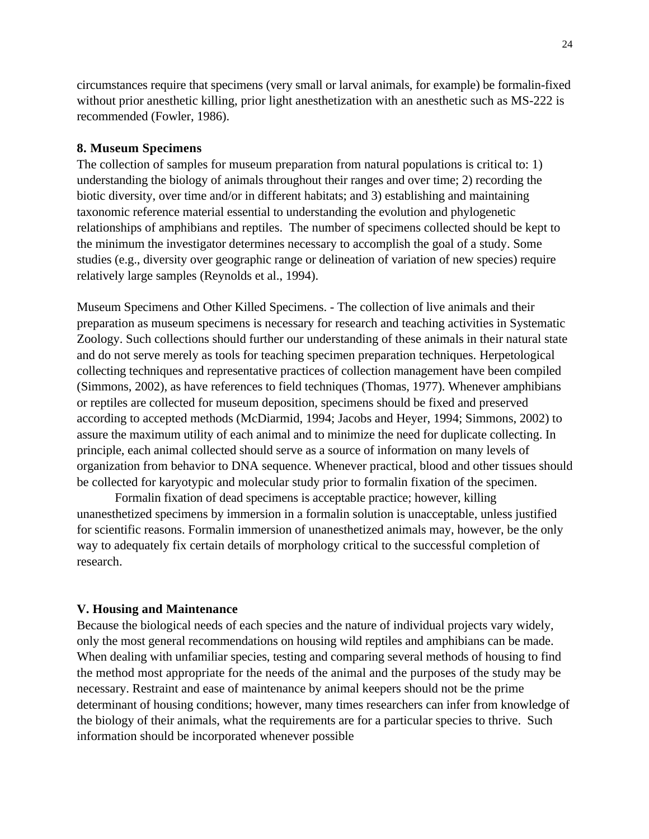circumstances require that specimens (very small or larval animals, for example) be formalin-fixed without prior anesthetic killing, prior light anesthetization with an anesthetic such as MS-222 is recommended (Fowler, 1986).

#### **8. Museum Specimens**

The collection of samples for museum preparation from natural populations is critical to: 1) understanding the biology of animals throughout their ranges and over time; 2) recording the biotic diversity, over time and/or in different habitats; and 3) establishing and maintaining taxonomic reference material essential to understanding the evolution and phylogenetic relationships of amphibians and reptiles. The number of specimens collected should be kept to the minimum the investigator determines necessary to accomplish the goal of a study. Some studies (e.g., diversity over geographic range or delineation of variation of new species) require relatively large samples (Reynolds et al., 1994).

Museum Specimens and Other Killed Specimens. - The collection of live animals and their preparation as museum specimens is necessary for research and teaching activities in Systematic Zoology. Such collections should further our understanding of these animals in their natural state and do not serve merely as tools for teaching specimen preparation techniques. Herpetological collecting techniques and representative practices of collection management have been compiled (Simmons, 2002), as have references to field techniques (Thomas, 1977). Whenever amphibians or reptiles are collected for museum deposition, specimens should be fixed and preserved according to accepted methods (McDiarmid, 1994; Jacobs and Heyer, 1994; Simmons, 2002) to assure the maximum utility of each animal and to minimize the need for duplicate collecting. In principle, each animal collected should serve as a source of information on many levels of organization from behavior to DNA sequence. Whenever practical, blood and other tissues should be collected for karyotypic and molecular study prior to formalin fixation of the specimen.

Formalin fixation of dead specimens is acceptable practice; however, killing unanesthetized specimens by immersion in a formalin solution is unacceptable, unless justified for scientific reasons. Formalin immersion of unanesthetized animals may, however, be the only way to adequately fix certain details of morphology critical to the successful completion of research.

#### **V. Housing and Maintenance**

Because the biological needs of each species and the nature of individual projects vary widely, only the most general recommendations on housing wild reptiles and amphibians can be made. When dealing with unfamiliar species, testing and comparing several methods of housing to find the method most appropriate for the needs of the animal and the purposes of the study may be necessary. Restraint and ease of maintenance by animal keepers should not be the prime determinant of housing conditions; however, many times researchers can infer from knowledge of the biology of their animals, what the requirements are for a particular species to thrive. Such information should be incorporated whenever possible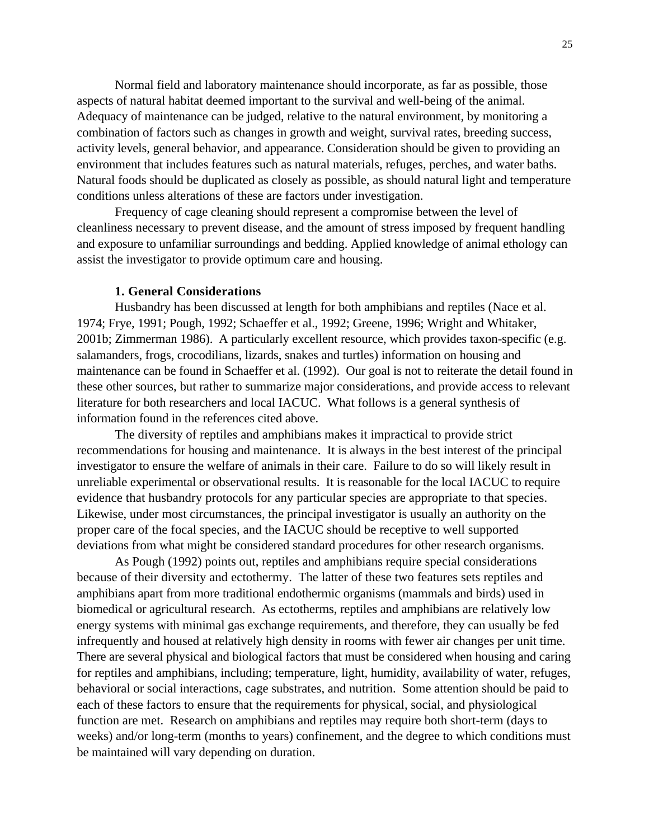Normal field and laboratory maintenance should incorporate, as far as possible, those aspects of natural habitat deemed important to the survival and well-being of the animal. Adequacy of maintenance can be judged, relative to the natural environment, by monitoring a combination of factors such as changes in growth and weight, survival rates, breeding success, activity levels, general behavior, and appearance. Consideration should be given to providing an environment that includes features such as natural materials, refuges, perches, and water baths. Natural foods should be duplicated as closely as possible, as should natural light and temperature conditions unless alterations of these are factors under investigation.

Frequency of cage cleaning should represent a compromise between the level of cleanliness necessary to prevent disease, and the amount of stress imposed by frequent handling and exposure to unfamiliar surroundings and bedding. Applied knowledge of animal ethology can assist the investigator to provide optimum care and housing.

#### **1. General Considerations**

Husbandry has been discussed at length for both amphibians and reptiles (Nace et al. 1974; Frye, 1991; Pough, 1992; Schaeffer et al., 1992; Greene, 1996; Wright and Whitaker, 2001b; Zimmerman 1986). A particularly excellent resource, which provides taxon-specific (e.g. salamanders, frogs, crocodilians, lizards, snakes and turtles) information on housing and maintenance can be found in Schaeffer et al. (1992). Our goal is not to reiterate the detail found in these other sources, but rather to summarize major considerations, and provide access to relevant literature for both researchers and local IACUC. What follows is a general synthesis of information found in the references cited above.

The diversity of reptiles and amphibians makes it impractical to provide strict recommendations for housing and maintenance. It is always in the best interest of the principal investigator to ensure the welfare of animals in their care. Failure to do so will likely result in unreliable experimental or observational results. It is reasonable for the local IACUC to require evidence that husbandry protocols for any particular species are appropriate to that species. Likewise, under most circumstances, the principal investigator is usually an authority on the proper care of the focal species, and the IACUC should be receptive to well supported deviations from what might be considered standard procedures for other research organisms.

As Pough (1992) points out, reptiles and amphibians require special considerations because of their diversity and ectothermy. The latter of these two features sets reptiles and amphibians apart from more traditional endothermic organisms (mammals and birds) used in biomedical or agricultural research. As ectotherms, reptiles and amphibians are relatively low energy systems with minimal gas exchange requirements, and therefore, they can usually be fed infrequently and housed at relatively high density in rooms with fewer air changes per unit time. There are several physical and biological factors that must be considered when housing and caring for reptiles and amphibians, including; temperature, light, humidity, availability of water, refuges, behavioral or social interactions, cage substrates, and nutrition. Some attention should be paid to each of these factors to ensure that the requirements for physical, social, and physiological function are met. Research on amphibians and reptiles may require both short-term (days to weeks) and/or long-term (months to years) confinement, and the degree to which conditions must be maintained will vary depending on duration.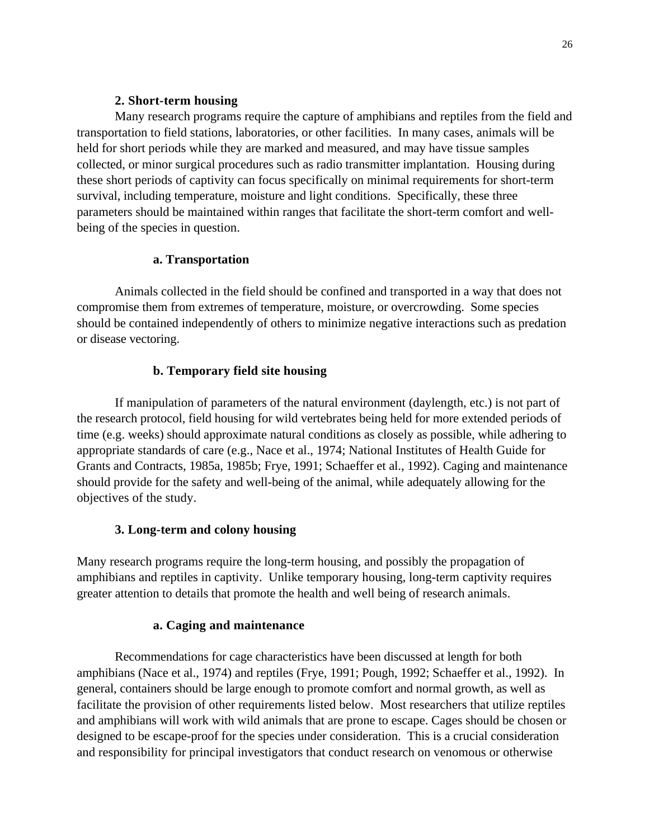## **2. Short-term housing**

Many research programs require the capture of amphibians and reptiles from the field and transportation to field stations, laboratories, or other facilities. In many cases, animals will be held for short periods while they are marked and measured, and may have tissue samples collected, or minor surgical procedures such as radio transmitter implantation. Housing during these short periods of captivity can focus specifically on minimal requirements for short-term survival, including temperature, moisture and light conditions. Specifically, these three parameters should be maintained within ranges that facilitate the short-term comfort and wellbeing of the species in question.

## **a. Transportation**

Animals collected in the field should be confined and transported in a way that does not compromise them from extremes of temperature, moisture, or overcrowding. Some species should be contained independently of others to minimize negative interactions such as predation or disease vectoring.

## **b. Temporary field site housing**

If manipulation of parameters of the natural environment (daylength, etc.) is not part of the research protocol, field housing for wild vertebrates being held for more extended periods of time (e.g. weeks) should approximate natural conditions as closely as possible, while adhering to appropriate standards of care (e.g., Nace et al., 1974; National Institutes of Health Guide for Grants and Contracts, 1985a, 1985b; Frye, 1991; Schaeffer et al., 1992). Caging and maintenance should provide for the safety and well-being of the animal, while adequately allowing for the objectives of the study.

## **3. Long-term and colony housing**

Many research programs require the long-term housing, and possibly the propagation of amphibians and reptiles in captivity. Unlike temporary housing, long-term captivity requires greater attention to details that promote the health and well being of research animals.

## **a. Caging and maintenance**

Recommendations for cage characteristics have been discussed at length for both amphibians (Nace et al., 1974) and reptiles (Frye, 1991; Pough, 1992; Schaeffer et al., 1992). In general, containers should be large enough to promote comfort and normal growth, as well as facilitate the provision of other requirements listed below. Most researchers that utilize reptiles and amphibians will work with wild animals that are prone to escape. Cages should be chosen or designed to be escape-proof for the species under consideration. This is a crucial consideration and responsibility for principal investigators that conduct research on venomous or otherwise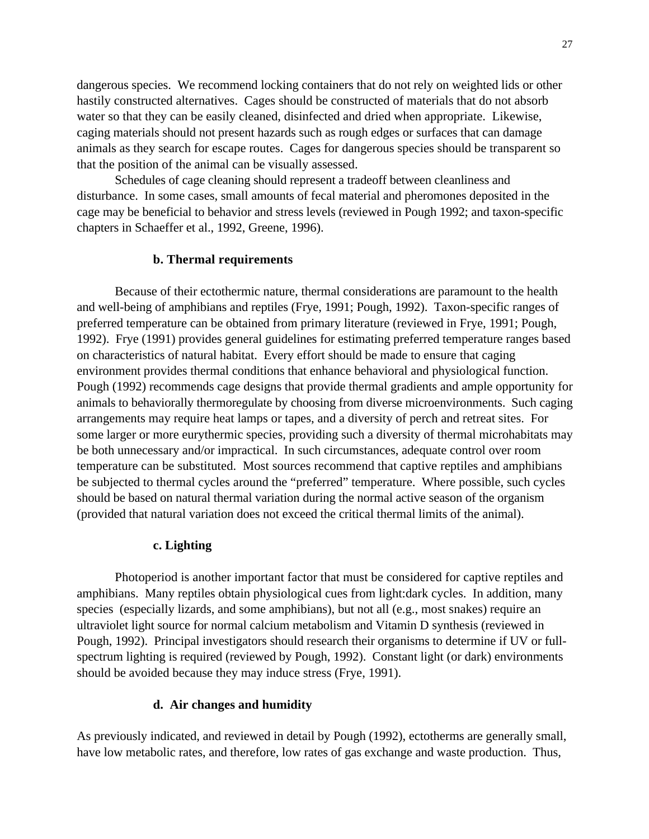dangerous species. We recommend locking containers that do not rely on weighted lids or other hastily constructed alternatives. Cages should be constructed of materials that do not absorb water so that they can be easily cleaned, disinfected and dried when appropriate. Likewise, caging materials should not present hazards such as rough edges or surfaces that can damage animals as they search for escape routes. Cages for dangerous species should be transparent so that the position of the animal can be visually assessed.

Schedules of cage cleaning should represent a tradeoff between cleanliness and disturbance. In some cases, small amounts of fecal material and pheromones deposited in the cage may be beneficial to behavior and stress levels (reviewed in Pough 1992; and taxon-specific chapters in Schaeffer et al., 1992, Greene, 1996).

#### **b. Thermal requirements**

Because of their ectothermic nature, thermal considerations are paramount to the health and well-being of amphibians and reptiles (Frye, 1991; Pough, 1992). Taxon-specific ranges of preferred temperature can be obtained from primary literature (reviewed in Frye, 1991; Pough, 1992). Frye (1991) provides general guidelines for estimating preferred temperature ranges based on characteristics of natural habitat. Every effort should be made to ensure that caging environment provides thermal conditions that enhance behavioral and physiological function. Pough (1992) recommends cage designs that provide thermal gradients and ample opportunity for animals to behaviorally thermoregulate by choosing from diverse microenvironments. Such caging arrangements may require heat lamps or tapes, and a diversity of perch and retreat sites. For some larger or more eurythermic species, providing such a diversity of thermal microhabitats may be both unnecessary and/or impractical. In such circumstances, adequate control over room temperature can be substituted. Most sources recommend that captive reptiles and amphibians be subjected to thermal cycles around the "preferred" temperature. Where possible, such cycles should be based on natural thermal variation during the normal active season of the organism (provided that natural variation does not exceed the critical thermal limits of the animal).

#### **c. Lighting**

Photoperiod is another important factor that must be considered for captive reptiles and amphibians. Many reptiles obtain physiological cues from light:dark cycles. In addition, many species (especially lizards, and some amphibians), but not all (e.g., most snakes) require an ultraviolet light source for normal calcium metabolism and Vitamin D synthesis (reviewed in Pough, 1992). Principal investigators should research their organisms to determine if UV or fullspectrum lighting is required (reviewed by Pough, 1992). Constant light (or dark) environments should be avoided because they may induce stress (Frye, 1991).

## **d. Air changes and humidity**

As previously indicated, and reviewed in detail by Pough (1992), ectotherms are generally small, have low metabolic rates, and therefore, low rates of gas exchange and waste production. Thus,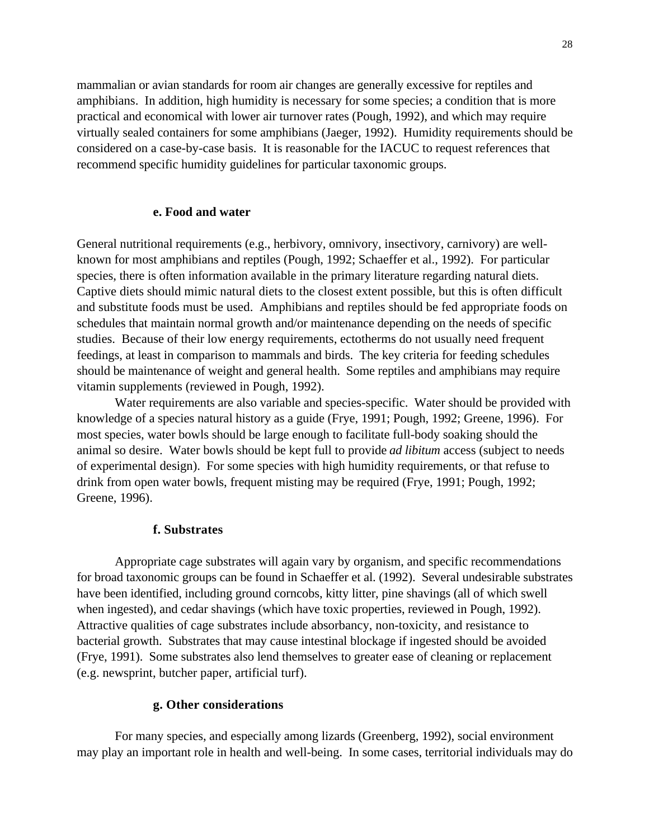mammalian or avian standards for room air changes are generally excessive for reptiles and amphibians. In addition, high humidity is necessary for some species; a condition that is more practical and economical with lower air turnover rates (Pough, 1992), and which may require virtually sealed containers for some amphibians (Jaeger, 1992). Humidity requirements should be considered on a case-by-case basis. It is reasonable for the IACUC to request references that recommend specific humidity guidelines for particular taxonomic groups.

#### **e. Food and water**

General nutritional requirements (e.g., herbivory, omnivory, insectivory, carnivory) are wellknown for most amphibians and reptiles (Pough, 1992; Schaeffer et al., 1992). For particular species, there is often information available in the primary literature regarding natural diets. Captive diets should mimic natural diets to the closest extent possible, but this is often difficult and substitute foods must be used. Amphibians and reptiles should be fed appropriate foods on schedules that maintain normal growth and/or maintenance depending on the needs of specific studies. Because of their low energy requirements, ectotherms do not usually need frequent feedings, at least in comparison to mammals and birds. The key criteria for feeding schedules should be maintenance of weight and general health. Some reptiles and amphibians may require vitamin supplements (reviewed in Pough, 1992).

Water requirements are also variable and species-specific. Water should be provided with knowledge of a species natural history as a guide (Frye, 1991; Pough, 1992; Greene, 1996). For most species, water bowls should be large enough to facilitate full-body soaking should the animal so desire. Water bowls should be kept full to provide *ad libitum* access (subject to needs of experimental design). For some species with high humidity requirements, or that refuse to drink from open water bowls, frequent misting may be required (Frye, 1991; Pough, 1992; Greene, 1996).

## **f. Substrates**

Appropriate cage substrates will again vary by organism, and specific recommendations for broad taxonomic groups can be found in Schaeffer et al. (1992). Several undesirable substrates have been identified, including ground corncobs, kitty litter, pine shavings (all of which swell when ingested), and cedar shavings (which have toxic properties, reviewed in Pough, 1992). Attractive qualities of cage substrates include absorbancy, non-toxicity, and resistance to bacterial growth. Substrates that may cause intestinal blockage if ingested should be avoided (Frye, 1991). Some substrates also lend themselves to greater ease of cleaning or replacement (e.g. newsprint, butcher paper, artificial turf).

### **g. Other considerations**

For many species, and especially among lizards (Greenberg, 1992), social environment may play an important role in health and well-being. In some cases, territorial individuals may do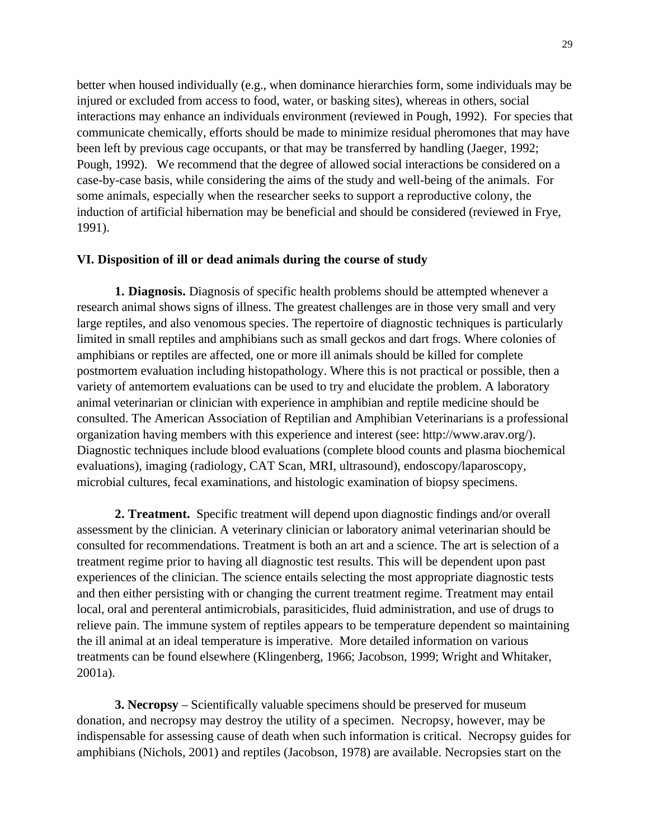better when housed individually (e.g., when dominance hierarchies form, some individuals may be injured or excluded from access to food, water, or basking sites), whereas in others, social interactions may enhance an individuals environment (reviewed in Pough, 1992). For species that communicate chemically, efforts should be made to minimize residual pheromones that may have been left by previous cage occupants, or that may be transferred by handling (Jaeger, 1992; Pough, 1992). We recommend that the degree of allowed social interactions be considered on a case-by-case basis, while considering the aims of the study and well-being of the animals. For some animals, especially when the researcher seeks to support a reproductive colony, the induction of artificial hibernation may be beneficial and should be considered (reviewed in Frye, 1991).

## **VI. Disposition of ill or dead animals during the course of study**

**1. Diagnosis.** Diagnosis of specific health problems should be attempted whenever a research animal shows signs of illness. The greatest challenges are in those very small and very large reptiles, and also venomous species. The repertoire of diagnostic techniques is particularly limited in small reptiles and amphibians such as small geckos and dart frogs. Where colonies of amphibians or reptiles are affected, one or more ill animals should be killed for complete postmortem evaluation including histopathology. Where this is not practical or possible, then a variety of antemortem evaluations can be used to try and elucidate the problem. A laboratory animal veterinarian or clinician with experience in amphibian and reptile medicine should be consulted. The American Association of Reptilian and Amphibian Veterinarians is a professional organization having members with this experience and interest (see: http://www.arav.org/). Diagnostic techniques include blood evaluations (complete blood counts and plasma biochemical evaluations), imaging (radiology, CAT Scan, MRI, ultrasound), endoscopy/laparoscopy, microbial cultures, fecal examinations, and histologic examination of biopsy specimens.

**2. Treatment.** Specific treatment will depend upon diagnostic findings and/or overall assessment by the clinician. A veterinary clinician or laboratory animal veterinarian should be consulted for recommendations. Treatment is both an art and a science. The art is selection of a treatment regime prior to having all diagnostic test results. This will be dependent upon past experiences of the clinician. The science entails selecting the most appropriate diagnostic tests and then either persisting with or changing the current treatment regime. Treatment may entail local, oral and perenteral antimicrobials, parasiticides, fluid administration, and use of drugs to relieve pain. The immune system of reptiles appears to be temperature dependent so maintaining the ill animal at an ideal temperature is imperative. More detailed information on various treatments can be found elsewhere (Klingenberg, 1966; Jacobson, 1999; Wright and Whitaker, 2001a).

**3. Necropsy** – Scientifically valuable specimens should be preserved for museum donation, and necropsy may destroy the utility of a specimen. Necropsy, however, may be indispensable for assessing cause of death when such information is critical. Necropsy guides for amphibians (Nichols, 2001) and reptiles (Jacobson, 1978) are available. Necropsies start on the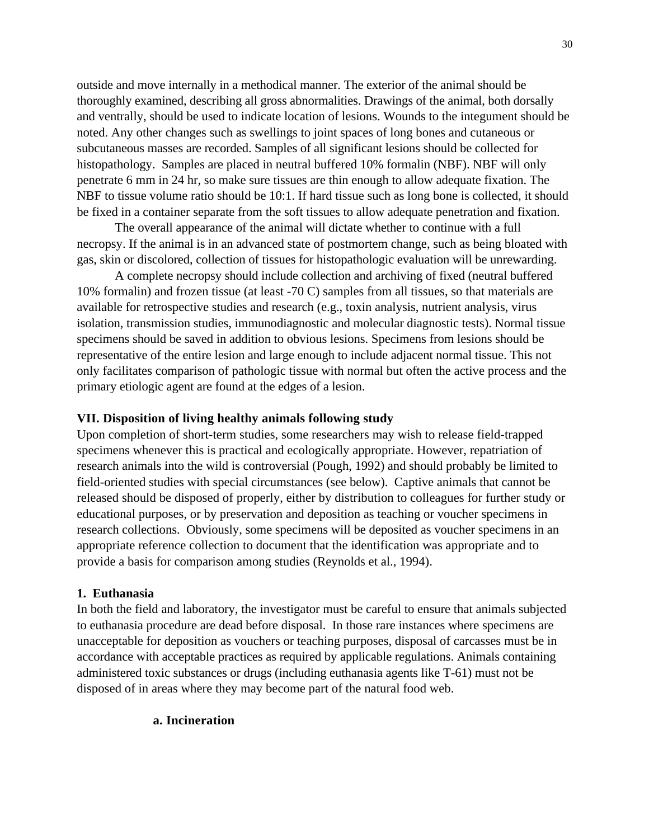outside and move internally in a methodical manner. The exterior of the animal should be thoroughly examined, describing all gross abnormalities. Drawings of the animal, both dorsally and ventrally, should be used to indicate location of lesions. Wounds to the integument should be noted. Any other changes such as swellings to joint spaces of long bones and cutaneous or subcutaneous masses are recorded. Samples of all significant lesions should be collected for histopathology. Samples are placed in neutral buffered 10% formalin (NBF). NBF will only penetrate 6 mm in 24 hr, so make sure tissues are thin enough to allow adequate fixation. The NBF to tissue volume ratio should be 10:1. If hard tissue such as long bone is collected, it should be fixed in a container separate from the soft tissues to allow adequate penetration and fixation.

The overall appearance of the animal will dictate whether to continue with a full necropsy. If the animal is in an advanced state of postmortem change, such as being bloated with gas, skin or discolored, collection of tissues for histopathologic evaluation will be unrewarding.

A complete necropsy should include collection and archiving of fixed (neutral buffered 10% formalin) and frozen tissue (at least -70 C) samples from all tissues, so that materials are available for retrospective studies and research (e.g., toxin analysis, nutrient analysis, virus isolation, transmission studies, immunodiagnostic and molecular diagnostic tests). Normal tissue specimens should be saved in addition to obvious lesions. Specimens from lesions should be representative of the entire lesion and large enough to include adjacent normal tissue. This not only facilitates comparison of pathologic tissue with normal but often the active process and the primary etiologic agent are found at the edges of a lesion.

## **VII. Disposition of living healthy animals following study**

Upon completion of short-term studies, some researchers may wish to release field-trapped specimens whenever this is practical and ecologically appropriate. However, repatriation of research animals into the wild is controversial (Pough, 1992) and should probably be limited to field-oriented studies with special circumstances (see below). Captive animals that cannot be released should be disposed of properly, either by distribution to colleagues for further study or educational purposes, or by preservation and deposition as teaching or voucher specimens in research collections. Obviously, some specimens will be deposited as voucher specimens in an appropriate reference collection to document that the identification was appropriate and to provide a basis for comparison among studies (Reynolds et al., 1994).

## **1. Euthanasia**

In both the field and laboratory, the investigator must be careful to ensure that animals subjected to euthanasia procedure are dead before disposal. In those rare instances where specimens are unacceptable for deposition as vouchers or teaching purposes, disposal of carcasses must be in accordance with acceptable practices as required by applicable regulations. Animals containing administered toxic substances or drugs (including euthanasia agents like T-61) must not be disposed of in areas where they may become part of the natural food web.

#### **a. Incineration**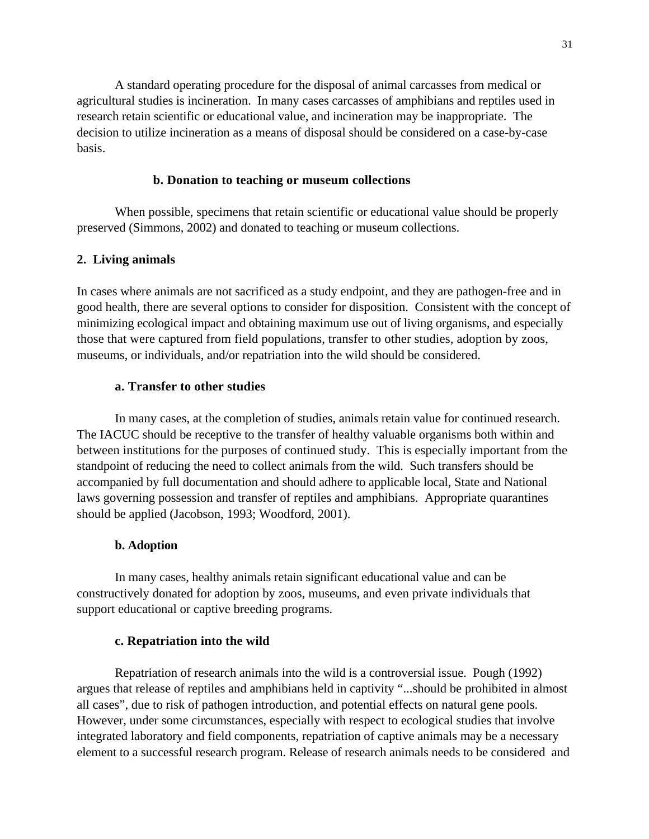A standard operating procedure for the disposal of animal carcasses from medical or agricultural studies is incineration. In many cases carcasses of amphibians and reptiles used in research retain scientific or educational value, and incineration may be inappropriate. The decision to utilize incineration as a means of disposal should be considered on a case-by-case basis.

## **b. Donation to teaching or museum collections**

When possible, specimens that retain scientific or educational value should be properly preserved (Simmons, 2002) and donated to teaching or museum collections.

## **2. Living animals**

In cases where animals are not sacrificed as a study endpoint, and they are pathogen-free and in good health, there are several options to consider for disposition. Consistent with the concept of minimizing ecological impact and obtaining maximum use out of living organisms, and especially those that were captured from field populations, transfer to other studies, adoption by zoos, museums, or individuals, and/or repatriation into the wild should be considered.

## **a. Transfer to other studies**

In many cases, at the completion of studies, animals retain value for continued research. The IACUC should be receptive to the transfer of healthy valuable organisms both within and between institutions for the purposes of continued study. This is especially important from the standpoint of reducing the need to collect animals from the wild. Such transfers should be accompanied by full documentation and should adhere to applicable local, State and National laws governing possession and transfer of reptiles and amphibians. Appropriate quarantines should be applied (Jacobson, 1993; Woodford, 2001).

#### **b. Adoption**

In many cases, healthy animals retain significant educational value and can be constructively donated for adoption by zoos, museums, and even private individuals that support educational or captive breeding programs.

### **c. Repatriation into the wild**

Repatriation of research animals into the wild is a controversial issue. Pough (1992) argues that release of reptiles and amphibians held in captivity "...should be prohibited in almost all cases", due to risk of pathogen introduction, and potential effects on natural gene pools. However, under some circumstances, especially with respect to ecological studies that involve integrated laboratory and field components, repatriation of captive animals may be a necessary element to a successful research program. Release of research animals needs to be considered and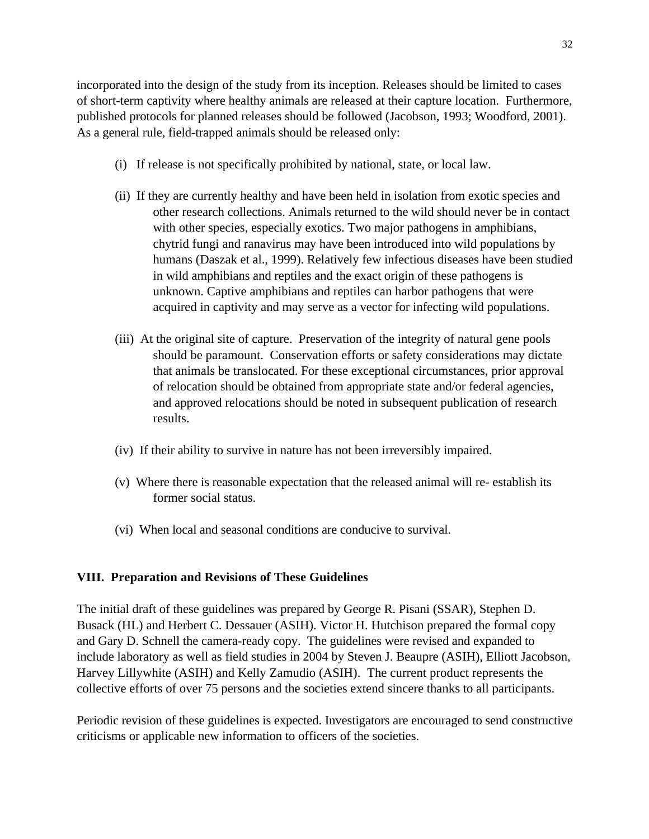incorporated into the design of the study from its inception. Releases should be limited to cases of short-term captivity where healthy animals are released at their capture location. Furthermore, published protocols for planned releases should be followed (Jacobson, 1993; Woodford, 2001). As a general rule, field-trapped animals should be released only:

- (i) If release is not specifically prohibited by national, state, or local law.
- (ii) If they are currently healthy and have been held in isolation from exotic species and other research collections. Animals returned to the wild should never be in contact with other species, especially exotics. Two major pathogens in amphibians, chytrid fungi and ranavirus may have been introduced into wild populations by humans (Daszak et al., 1999). Relatively few infectious diseases have been studied in wild amphibians and reptiles and the exact origin of these pathogens is unknown. Captive amphibians and reptiles can harbor pathogens that were acquired in captivity and may serve as a vector for infecting wild populations.
- (iii) At the original site of capture. Preservation of the integrity of natural gene pools should be paramount. Conservation efforts or safety considerations may dictate that animals be translocated. For these exceptional circumstances, prior approval of relocation should be obtained from appropriate state and/or federal agencies, and approved relocations should be noted in subsequent publication of research results.
- (iv) If their ability to survive in nature has not been irreversibly impaired.
- (v) Where there is reasonable expectation that the released animal will re- establish its former social status.
- (vi) When local and seasonal conditions are conducive to survival.

# **VIII. Preparation and Revisions of These Guidelines**

The initial draft of these guidelines was prepared by George R. Pisani (SSAR), Stephen D. Busack (HL) and Herbert C. Dessauer (ASIH). Victor H. Hutchison prepared the formal copy and Gary D. Schnell the camera-ready copy. The guidelines were revised and expanded to include laboratory as well as field studies in 2004 by Steven J. Beaupre (ASIH), Elliott Jacobson, Harvey Lillywhite (ASIH) and Kelly Zamudio (ASIH). The current product represents the collective efforts of over 75 persons and the societies extend sincere thanks to all participants.

Periodic revision of these guidelines is expected. Investigators are encouraged to send constructive criticisms or applicable new information to officers of the societies.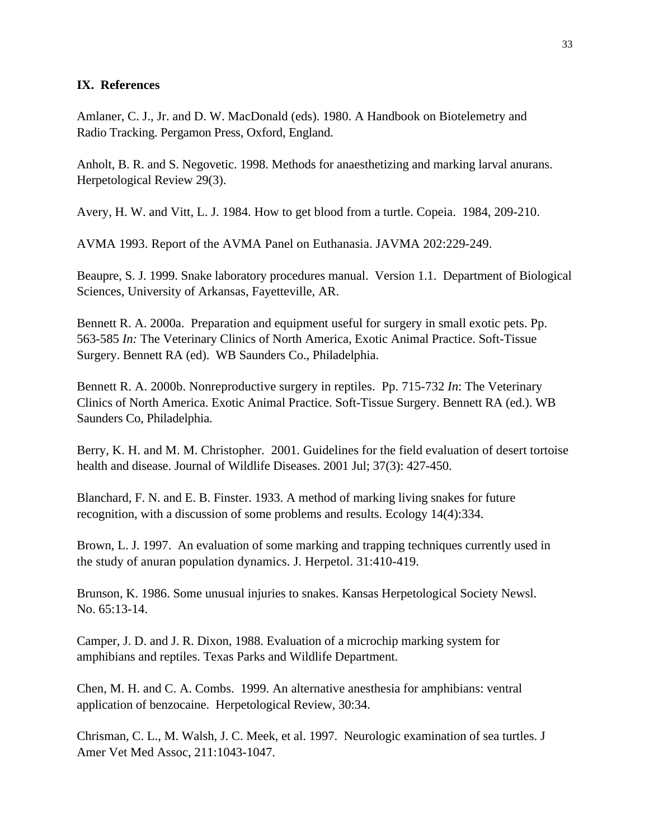## **IX. References**

Amlaner, C. J., Jr. and D. W. MacDonald (eds). 1980. A Handbook on Biotelemetry and Radio Tracking. Pergamon Press, Oxford, England.

Anholt, B. R. and S. Negovetic. 1998. Methods for anaesthetizing and marking larval anurans. Herpetological Review 29(3).

Avery, H. W. and Vitt, L. J. 1984. How to get blood from a turtle. Copeia. 1984, 209-210.

AVMA 1993. Report of the AVMA Panel on Euthanasia. JAVMA 202:229-249.

Beaupre, S. J. 1999. Snake laboratory procedures manual. Version 1.1. Department of Biological Sciences, University of Arkansas, Fayetteville, AR.

Bennett R. A. 2000a. Preparation and equipment useful for surgery in small exotic pets. Pp. 563-585 *In:* The Veterinary Clinics of North America, Exotic Animal Practice. Soft-Tissue Surgery. Bennett RA (ed). WB Saunders Co., Philadelphia.

Bennett R. A. 2000b. Nonreproductive surgery in reptiles. Pp. 715-732 *In*: The Veterinary Clinics of North America. Exotic Animal Practice. Soft-Tissue Surgery. Bennett RA (ed.). WB Saunders Co, Philadelphia.

Berry, K. H. and M. M. Christopher. 2001. Guidelines for the field evaluation of desert tortoise health and disease. Journal of Wildlife Diseases. 2001 Jul; 37(3): 427-450.

Blanchard, F. N. and E. B. Finster. 1933. A method of marking living snakes for future recognition, with a discussion of some problems and results. Ecology 14(4):334.

Brown, L. J. 1997. An evaluation of some marking and trapping techniques currently used in the study of anuran population dynamics. J. Herpetol. 31:410-419.

Brunson, K. 1986. Some unusual injuries to snakes. Kansas Herpetological Society Newsl. No. 65:13-14.

Camper, J. D. and J. R. Dixon, 1988. Evaluation of a microchip marking system for amphibians and reptiles. Texas Parks and Wildlife Department.

Chen, M. H. and C. A. Combs. 1999. An alternative anesthesia for amphibians: ventral application of benzocaine. Herpetological Review, 30:34.

Chrisman, C. L., M. Walsh, J. C. Meek, et al. 1997. Neurologic examination of sea turtles. J Amer Vet Med Assoc, 211:1043-1047.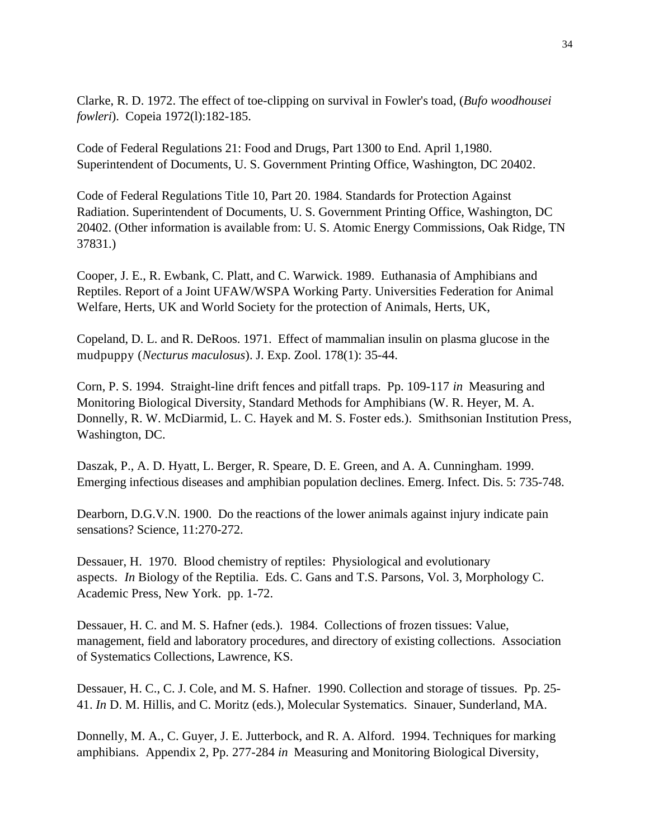Clarke, R. D. 1972. The effect of toe-clipping on survival in Fowler's toad, (*Bufo woodhousei fowleri*). Copeia 1972(l):182-185.

Code of Federal Regulations 21: Food and Drugs, Part 1300 to End. April 1,1980. Superintendent of Documents, U. S. Government Printing Office, Washington, DC 20402.

Code of Federal Regulations Title 10, Part 20. 1984. Standards for Protection Against Radiation. Superintendent of Documents, U. S. Government Printing Office, Washington, DC 20402. (Other information is available from: U. S. Atomic Energy Commissions, Oak Ridge, TN 37831.)

Cooper, J. E., R. Ewbank, C. Platt, and C. Warwick. 1989. Euthanasia of Amphibians and Reptiles. Report of a Joint UFAW/WSPA Working Party. Universities Federation for Animal Welfare, Herts, UK and World Society for the protection of Animals, Herts, UK,

Copeland, D. L. and R. DeRoos. 1971. Effect of mammalian insulin on plasma glucose in the mudpuppy (*Necturus maculosus*). J. Exp. Zool. 178(1): 35-44.

Corn, P. S. 1994. Straight-line drift fences and pitfall traps. Pp. 109-117 *in* Measuring and Monitoring Biological Diversity, Standard Methods for Amphibians (W. R. Heyer, M. A. Donnelly, R. W. McDiarmid, L. C. Hayek and M. S. Foster eds.). Smithsonian Institution Press, Washington, DC.

Daszak, P., A. D. Hyatt, L. Berger, R. Speare, D. E. Green, and A. A. Cunningham. 1999. Emerging infectious diseases and amphibian population declines. Emerg. Infect. Dis. 5: 735-748.

Dearborn, D.G.V.N. 1900. Do the reactions of the lower animals against injury indicate pain sensations? Science, 11:270-272.

Dessauer, H. 1970. Blood chemistry of reptiles: Physiological and evolutionary aspects. *In* Biology of the Reptilia. Eds. C. Gans and T.S. Parsons, Vol. 3, Morphology C. Academic Press, New York. pp. 1-72.

Dessauer, H. C. and M. S. Hafner (eds.). 1984. Collections of frozen tissues: Value, management, field and laboratory procedures, and directory of existing collections. Association of Systematics Collections, Lawrence, KS.

Dessauer, H. C., C. J. Cole, and M. S. Hafner. 1990. Collection and storage of tissues. Pp. 25- 41. *In* D. M. Hillis, and C. Moritz (eds.), Molecular Systematics. Sinauer, Sunderland, MA.

Donnelly, M. A., C. Guyer, J. E. Jutterbock, and R. A. Alford. 1994. Techniques for marking amphibians. Appendix 2, Pp. 277-284 *in* Measuring and Monitoring Biological Diversity,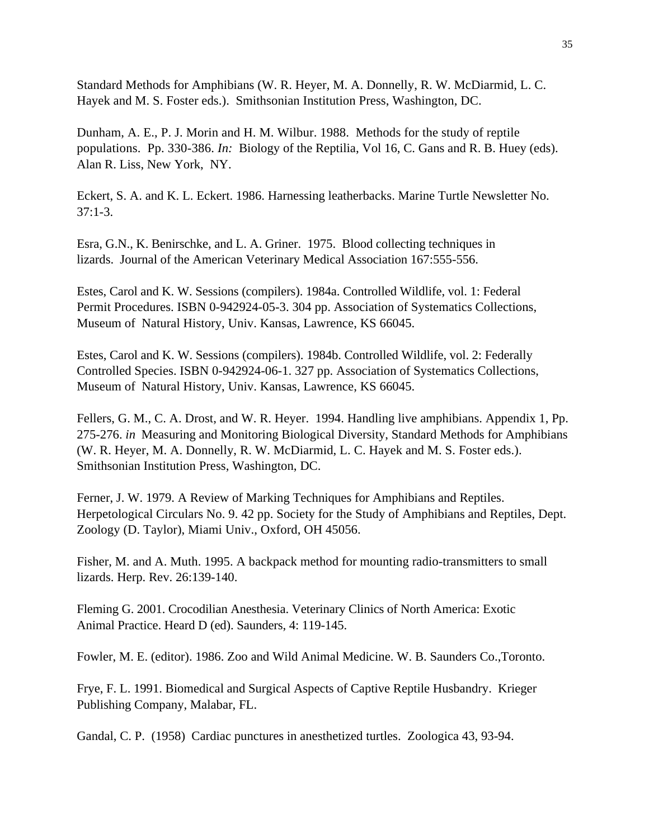Standard Methods for Amphibians (W. R. Heyer, M. A. Donnelly, R. W. McDiarmid, L. C. Hayek and M. S. Foster eds.). Smithsonian Institution Press, Washington, DC.

Dunham, A. E., P. J. Morin and H. M. Wilbur. 1988. Methods for the study of reptile populations. Pp. 330-386. *In:* Biology of the Reptilia, Vol 16, C. Gans and R. B. Huey (eds). Alan R. Liss, New York, NY.

Eckert, S. A. and K. L. Eckert. 1986. Harnessing leatherbacks. Marine Turtle Newsletter No.  $37:1-3.$ 

Esra, G.N., K. Benirschke, and L. A. Griner. 1975. Blood collecting techniques in lizards. Journal of the American Veterinary Medical Association 167:555-556.

Estes, Carol and K. W. Sessions (compilers). 1984a. Controlled Wildlife, vol. 1: Federal Permit Procedures. ISBN 0-942924-05-3. 304 pp. Association of Systematics Collections, Museum of Natural History, Univ. Kansas, Lawrence, KS 66045.

Estes, Carol and K. W. Sessions (compilers). 1984b. Controlled Wildlife, vol. 2: Federally Controlled Species. ISBN 0-942924-06-1. 327 pp. Association of Systematics Collections, Museum of Natural History, Univ. Kansas, Lawrence, KS 66045.

Fellers, G. M., C. A. Drost, and W. R. Heyer. 1994. Handling live amphibians. Appendix 1, Pp. 275-276. *in* Measuring and Monitoring Biological Diversity, Standard Methods for Amphibians (W. R. Heyer, M. A. Donnelly, R. W. McDiarmid, L. C. Hayek and M. S. Foster eds.). Smithsonian Institution Press, Washington, DC.

Ferner, J. W. 1979. A Review of Marking Techniques for Amphibians and Reptiles. Herpetological Circulars No. 9. 42 pp. Society for the Study of Amphibians and Reptiles, Dept. Zoology (D. Taylor), Miami Univ., Oxford, OH 45056.

Fisher, M. and A. Muth. 1995. A backpack method for mounting radio-transmitters to small lizards. Herp. Rev. 26:139-140.

Fleming G. 2001. Crocodilian Anesthesia. Veterinary Clinics of North America: Exotic Animal Practice. Heard D (ed). Saunders, 4: 119-145.

Fowler, M. E. (editor). 1986. Zoo and Wild Animal Medicine. W. B. Saunders Co.,Toronto.

Frye, F. L. 1991. Biomedical and Surgical Aspects of Captive Reptile Husbandry. Krieger Publishing Company, Malabar, FL.

Gandal, C. P. (1958) Cardiac punctures in anesthetized turtles. Zoologica 43, 93-94.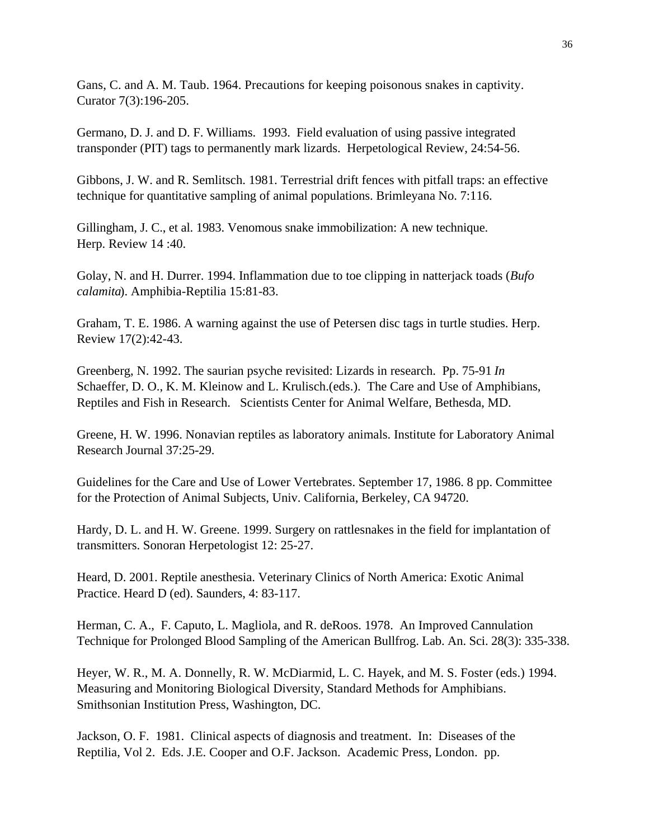Gans, C. and A. M. Taub. 1964. Precautions for keeping poisonous snakes in captivity. Curator 7(3):196-205.

Germano, D. J. and D. F. Williams. 1993. Field evaluation of using passive integrated transponder (PIT) tags to permanently mark lizards. Herpetological Review, 24:54-56.

Gibbons, J. W. and R. Semlitsch. 1981. Terrestrial drift fences with pitfall traps: an effective technique for quantitative sampling of animal populations. Brimleyana No. 7:116.

Gillingham, J. C., et al. 1983. Venomous snake immobilization: A new technique. Herp. Review 14 :40.

Golay, N. and H. Durrer. 1994. Inflammation due to toe clipping in natterjack toads (*Bufo calamita*). Amphibia-Reptilia 15:81-83.

Graham, T. E. 1986. A warning against the use of Petersen disc tags in turtle studies. Herp. Review 17(2):42-43.

Greenberg, N. 1992. The saurian psyche revisited: Lizards in research. Pp. 75-91 *In* Schaeffer, D. O., K. M. Kleinow and L. Krulisch.(eds.). The Care and Use of Amphibians, Reptiles and Fish in Research. Scientists Center for Animal Welfare, Bethesda, MD.

Greene, H. W. 1996. Nonavian reptiles as laboratory animals. Institute for Laboratory Animal Research Journal 37:25-29.

Guidelines for the Care and Use of Lower Vertebrates. September 17, 1986. 8 pp. Committee for the Protection of Animal Subjects, Univ. California, Berkeley, CA 94720.

Hardy, D. L. and H. W. Greene. 1999. Surgery on rattlesnakes in the field for implantation of transmitters. Sonoran Herpetologist 12: 25-27.

Heard, D. 2001. Reptile anesthesia. Veterinary Clinics of North America: Exotic Animal Practice. Heard D (ed). Saunders, 4: 83-117.

Herman, C. A., F. Caputo, L. Magliola, and R. deRoos. 1978. An Improved Cannulation Technique for Prolonged Blood Sampling of the American Bullfrog. Lab. An. Sci. 28(3): 335-338.

Heyer, W. R., M. A. Donnelly, R. W. McDiarmid, L. C. Hayek, and M. S. Foster (eds.) 1994. Measuring and Monitoring Biological Diversity, Standard Methods for Amphibians. Smithsonian Institution Press, Washington, DC.

Jackson, O. F. 1981. Clinical aspects of diagnosis and treatment. In: Diseases of the Reptilia, Vol 2. Eds. J.E. Cooper and O.F. Jackson. Academic Press, London. pp.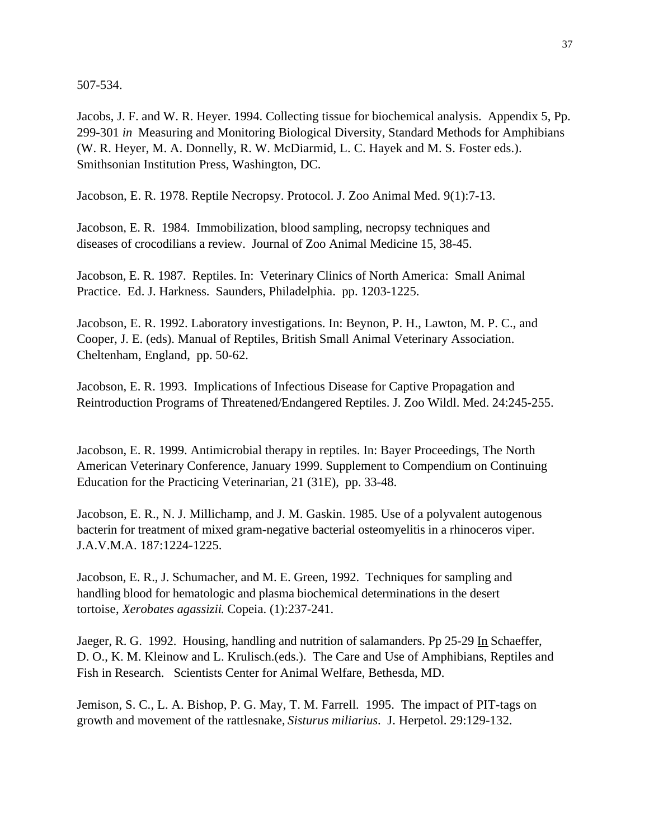507-534.

Jacobs, J. F. and W. R. Heyer. 1994. Collecting tissue for biochemical analysis. Appendix 5, Pp. 299-301 *in* Measuring and Monitoring Biological Diversity, Standard Methods for Amphibians (W. R. Heyer, M. A. Donnelly, R. W. McDiarmid, L. C. Hayek and M. S. Foster eds.). Smithsonian Institution Press, Washington, DC.

Jacobson, E. R. 1978. Reptile Necropsy. Protocol. J. Zoo Animal Med. 9(1):7-13.

Jacobson, E. R. 1984. Immobilization, blood sampling, necropsy techniques and diseases of crocodilians a review. Journal of Zoo Animal Medicine 15, 38-45.

Jacobson, E. R. 1987. Reptiles. In: Veterinary Clinics of North America: Small Animal Practice. Ed. J. Harkness. Saunders, Philadelphia. pp. 1203-1225.

Jacobson, E. R. 1992. Laboratory investigations. In: Beynon, P. H., Lawton, M. P. C., and Cooper, J. E. (eds). Manual of Reptiles, British Small Animal Veterinary Association. Cheltenham, England, pp. 50-62.

Jacobson, E. R. 1993. Implications of Infectious Disease for Captive Propagation and Reintroduction Programs of Threatened/Endangered Reptiles. J. Zoo Wildl. Med. 24:245-255.

Jacobson, E. R. 1999. Antimicrobial therapy in reptiles. In: Bayer Proceedings, The North American Veterinary Conference, January 1999. Supplement to Compendium on Continuing Education for the Practicing Veterinarian, 21 (31E), pp. 33-48.

Jacobson, E. R., N. J. Millichamp, and J. M. Gaskin. 1985. Use of a polyvalent autogenous bacterin for treatment of mixed gram-negative bacterial osteomyelitis in a rhinoceros viper. J.A.V.M.A. 187:1224-1225.

Jacobson, E. R., J. Schumacher, and M. E. Green, 1992. Techniques for sampling and handling blood for hematologic and plasma biochemical determinations in the desert tortoise, *Xerobates agassizii*. Copeia. (1):237-241.

Jaeger, R. G. 1992. Housing, handling and nutrition of salamanders. Pp 25-29 In Schaeffer, D. O., K. M. Kleinow and L. Krulisch.(eds.). The Care and Use of Amphibians, Reptiles and Fish in Research. Scientists Center for Animal Welfare, Bethesda, MD.

Jemison, S. C., L. A. Bishop, P. G. May, T. M. Farrell. 1995. The impact of PIT-tags on growth and movement of the rattlesnake, *Sisturus miliarius*. J. Herpetol. 29:129-132.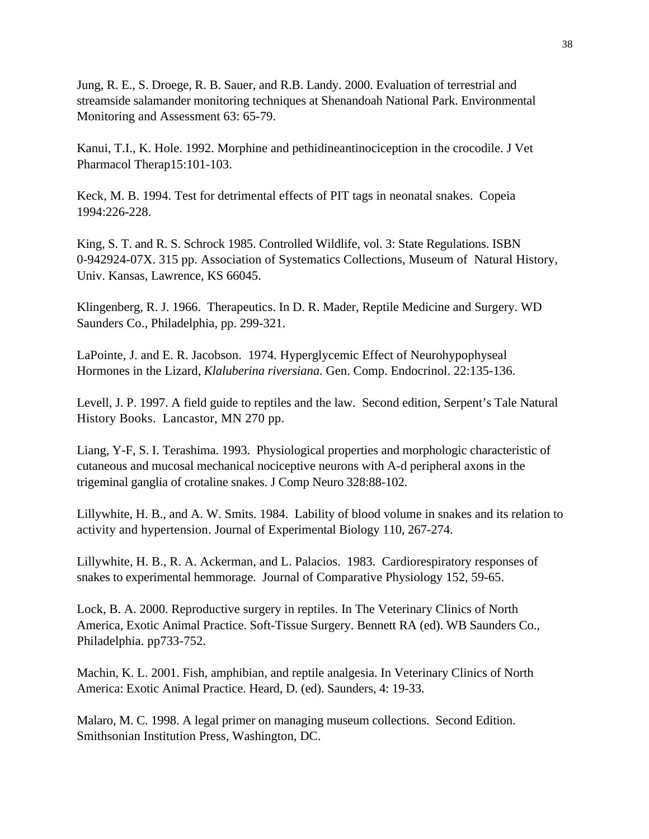Jung, R. E., S. Droege, R. B. Sauer, and R.B. Landy. 2000. Evaluation of terrestrial and streamside salamander monitoring techniques at Shenandoah National Park. Environmental Monitoring and Assessment 63: 65-79.

Kanui, T.I., K. Hole. 1992. Morphine and pethidineantinociception in the crocodile. J Vet Pharmacol Therap15:101-103.

Keck, M. B. 1994. Test for detrimental effects of PIT tags in neonatal snakes. Copeia 1994:226-228.

King, S. T. and R. S. Schrock 1985. Controlled Wildlife, vol. 3: State Regulations. ISBN 0-942924-07X. 315 pp. Association of Systematics Collections, Museum of Natural History, Univ. Kansas, Lawrence, KS 66045.

Klingenberg, R. J. 1966. Therapeutics. In D. R. Mader, Reptile Medicine and Surgery. WD Saunders Co., Philadelphia, pp. 299-321.

LaPointe, J. and E. R. Jacobson. 1974. Hyperglycemic Effect of Neurohypophyseal Hormones in the Lizard, *Klaluberina riversiana*. Gen. Comp. Endocrinol. 22:135-136.

Levell, J. P. 1997. A field guide to reptiles and the law. Second edition, Serpent's Tale Natural History Books. Lancastor, MN 270 pp.

Liang, Y-F, S. I. Terashima. 1993. Physiological properties and morphologic characteristic of cutaneous and mucosal mechanical nociceptive neurons with A-d peripheral axons in the trigeminal ganglia of crotaline snakes. J Comp Neuro 328:88-102.

Lillywhite, H. B., and A. W. Smits. 1984. Lability of blood volume in snakes and its relation to activity and hypertension. Journal of Experimental Biology 110, 267-274.

Lillywhite, H. B., R. A. Ackerman, and L. Palacios. 1983. Cardiorespiratory responses of snakes to experimental hemmorage. Journal of Comparative Physiology 152, 59-65.

Lock, B. A. 2000. Reproductive surgery in reptiles. In The Veterinary Clinics of North America, Exotic Animal Practice. Soft-Tissue Surgery. Bennett RA (ed). WB Saunders Co., Philadelphia. pp733-752.

Machin, K. L. 2001. Fish, amphibian, and reptile analgesia. In Veterinary Clinics of North America: Exotic Animal Practice. Heard, D. (ed). Saunders, 4: 19-33.

Malaro, M. C. 1998. A legal primer on managing museum collections. Second Edition. Smithsonian Institution Press, Washington, DC.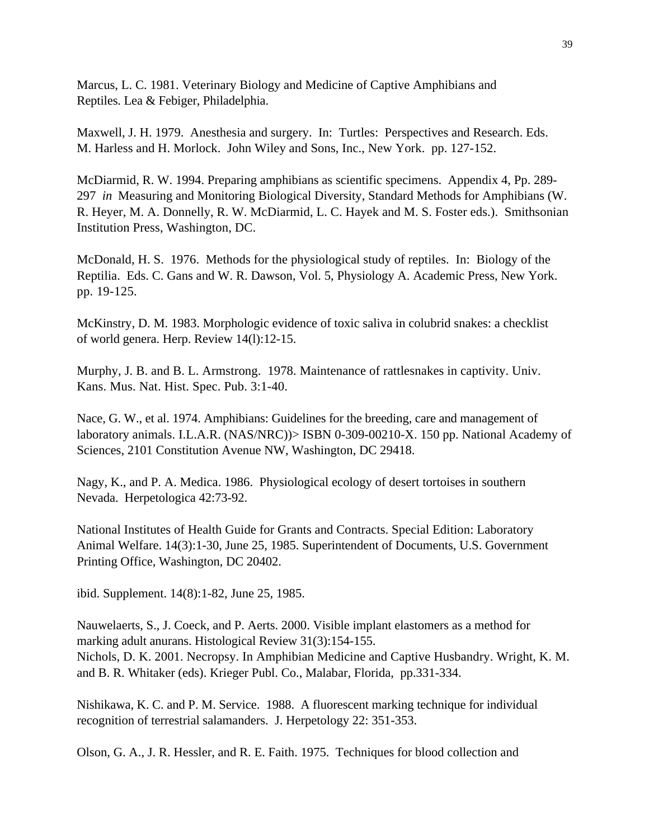Marcus, L. C. 1981. Veterinary Biology and Medicine of Captive Amphibians and Reptiles. Lea & Febiger, Philadelphia.

Maxwell, J. H. 1979. Anesthesia and surgery. In: Turtles: Perspectives and Research. Eds. M. Harless and H. Morlock. John Wiley and Sons, Inc., New York. pp. 127-152.

McDiarmid, R. W. 1994. Preparing amphibians as scientific specimens. Appendix 4, Pp. 289- 297 *in* Measuring and Monitoring Biological Diversity, Standard Methods for Amphibians (W. R. Heyer, M. A. Donnelly, R. W. McDiarmid, L. C. Hayek and M. S. Foster eds.). Smithsonian Institution Press, Washington, DC.

McDonald, H. S. 1976. Methods for the physiological study of reptiles. In: Biology of the Reptilia. Eds. C. Gans and W. R. Dawson, Vol. 5, Physiology A. Academic Press, New York. pp. 19-125.

McKinstry, D. M. 1983. Morphologic evidence of toxic saliva in colubrid snakes: a checklist of world genera. Herp. Review 14(l):12-15.

Murphy, J. B. and B. L. Armstrong. 1978. Maintenance of rattlesnakes in captivity. Univ. Kans. Mus. Nat. Hist. Spec. Pub. 3:1-40.

Nace, G. W., et al. 1974. Amphibians: Guidelines for the breeding, care and management of laboratory animals. I.L.A.R. (NAS/NRC))> ISBN 0-309-00210-X. 150 pp. National Academy of Sciences, 2101 Constitution Avenue NW, Washington, DC 29418.

Nagy, K., and P. A. Medica. 1986. Physiological ecology of desert tortoises in southern Nevada. Herpetologica 42:73-92.

National Institutes of Health Guide for Grants and Contracts. Special Edition: Laboratory Animal Welfare. 14(3):1-30, June 25, 1985. Superintendent of Documents, U.S. Government Printing Office, Washington, DC 20402.

ibid. Supplement. 14(8):1-82, June 25, 1985.

Nauwelaerts, S., J. Coeck, and P. Aerts. 2000. Visible implant elastomers as a method for marking adult anurans. Histological Review 31(3):154-155. Nichols, D. K. 2001. Necropsy. In Amphibian Medicine and Captive Husbandry. Wright, K. M. and B. R. Whitaker (eds). Krieger Publ. Co., Malabar, Florida, pp.331-334.

Nishikawa, K. C. and P. M. Service. 1988. A fluorescent marking technique for individual recognition of terrestrial salamanders. J. Herpetology 22: 351-353.

Olson, G. A., J. R. Hessler, and R. E. Faith. 1975. Techniques for blood collection and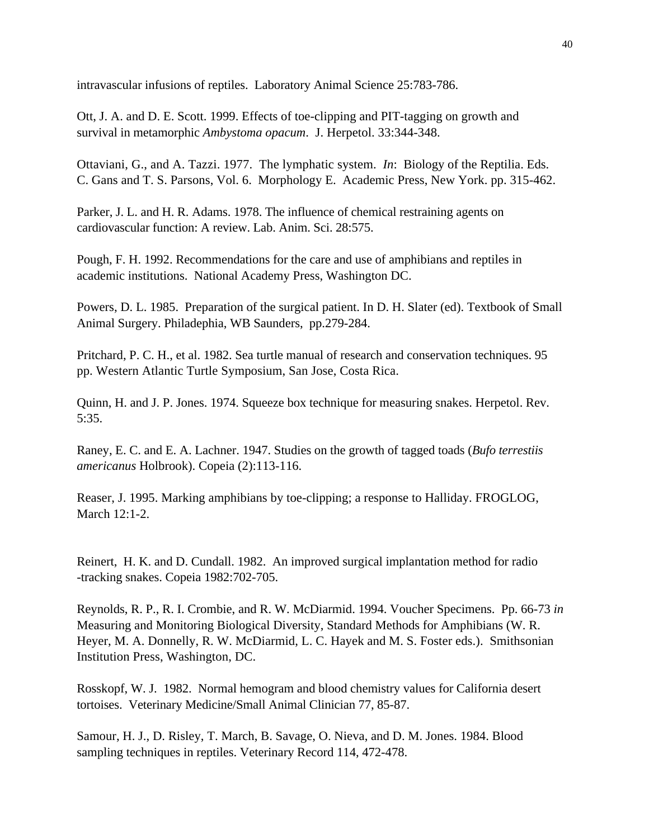intravascular infusions of reptiles. Laboratory Animal Science 25:783-786.

Ott, J. A. and D. E. Scott. 1999. Effects of toe-clipping and PIT-tagging on growth and survival in metamorphic *Ambystoma opacum*. J. Herpetol. 33:344-348.

Ottaviani, G., and A. Tazzi. 1977. The lymphatic system. *In*: Biology of the Reptilia. Eds. C. Gans and T. S. Parsons, Vol. 6. Morphology E. Academic Press, New York. pp. 315-462.

Parker, J. L. and H. R. Adams. 1978. The influence of chemical restraining agents on cardiovascular function: A review. Lab. Anim. Sci. 28:575.

Pough, F. H. 1992. Recommendations for the care and use of amphibians and reptiles in academic institutions. National Academy Press, Washington DC.

Powers, D. L. 1985. Preparation of the surgical patient. In D. H. Slater (ed). Textbook of Small Animal Surgery. Philadephia, WB Saunders, pp.279-284.

Pritchard, P. C. H., et al. 1982. Sea turtle manual of research and conservation techniques. 95 pp. Western Atlantic Turtle Symposium, San Jose, Costa Rica.

Quinn, H. and J. P. Jones. 1974. Squeeze box technique for measuring snakes. Herpetol. Rev. 5:35.

Raney, E. C. and E. A. Lachner. 1947. Studies on the growth of tagged toads (*Bufo terrestiis americanus* Holbrook). Copeia (2):113-116.

Reaser, J. 1995. Marking amphibians by toe-clipping; a response to Halliday. FROGLOG, March 12:1-2.

Reinert, H. K. and D. Cundall. 1982. An improved surgical implantation method for radio -tracking snakes. Copeia 1982:702-705.

Reynolds, R. P., R. I. Crombie, and R. W. McDiarmid. 1994. Voucher Specimens. Pp. 66-73 *in* Measuring and Monitoring Biological Diversity, Standard Methods for Amphibians (W. R. Heyer, M. A. Donnelly, R. W. McDiarmid, L. C. Hayek and M. S. Foster eds.). Smithsonian Institution Press, Washington, DC.

Rosskopf, W. J. 1982. Normal hemogram and blood chemistry values for California desert tortoises. Veterinary Medicine/Small Animal Clinician 77, 85-87.

Samour, H. J., D. Risley, T. March, B. Savage, O. Nieva, and D. M. Jones. 1984. Blood sampling techniques in reptiles. Veterinary Record 114, 472-478.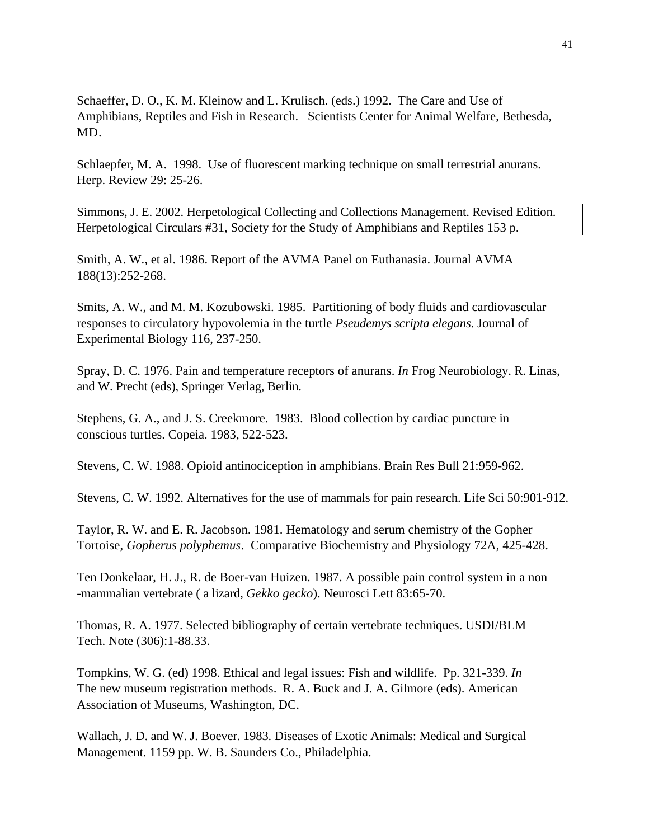Schaeffer, D. O., K. M. Kleinow and L. Krulisch. (eds.) 1992. The Care and Use of Amphibians, Reptiles and Fish in Research. Scientists Center for Animal Welfare, Bethesda, MD.

Schlaepfer, M. A. 1998. Use of fluorescent marking technique on small terrestrial anurans. Herp. Review 29: 25-26.

Simmons, J. E. 2002. Herpetological Collecting and Collections Management. Revised Edition. Herpetological Circulars #31, Society for the Study of Amphibians and Reptiles 153 p.

Smith, A. W., et al. 1986. Report of the AVMA Panel on Euthanasia. Journal AVMA 188(13):252-268.

Smits, A. W., and M. M. Kozubowski. 1985. Partitioning of body fluids and cardiovascular responses to circulatory hypovolemia in the turtle *Pseudemys scripta elegans*. Journal of Experimental Biology 116, 237-250.

Spray, D. C. 1976. Pain and temperature receptors of anurans. *In* Frog Neurobiology. R. Linas, and W. Precht (eds), Springer Verlag, Berlin.

Stephens, G. A., and J. S. Creekmore. 1983. Blood collection by cardiac puncture in conscious turtles. Copeia. 1983, 522-523.

Stevens, C. W. 1988. Opioid antinociception in amphibians. Brain Res Bull 21:959-962.

Stevens, C. W. 1992. Alternatives for the use of mammals for pain research. Life Sci 50:901-912.

Taylor, R. W. and E. R. Jacobson. 1981. Hematology and serum chemistry of the Gopher Tortoise, *Gopherus polyphemus*. Comparative Biochemistry and Physiology 72A, 425-428.

Ten Donkelaar, H. J., R. de Boer-van Huizen. 1987. A possible pain control system in a non -mammalian vertebrate ( a lizard, *Gekko gecko*). Neurosci Lett 83:65-70.

Thomas, R. A. 1977. Selected bibliography of certain vertebrate techniques. USDI/BLM Tech. Note (306):1-88.33.

Tompkins, W. G. (ed) 1998. Ethical and legal issues: Fish and wildlife. Pp. 321-339. *In* The new museum registration methods. R. A. Buck and J. A. Gilmore (eds). American Association of Museums, Washington, DC.

Wallach, J. D. and W. J. Boever. 1983. Diseases of Exotic Animals: Medical and Surgical Management. 1159 pp. W. B. Saunders Co., Philadelphia.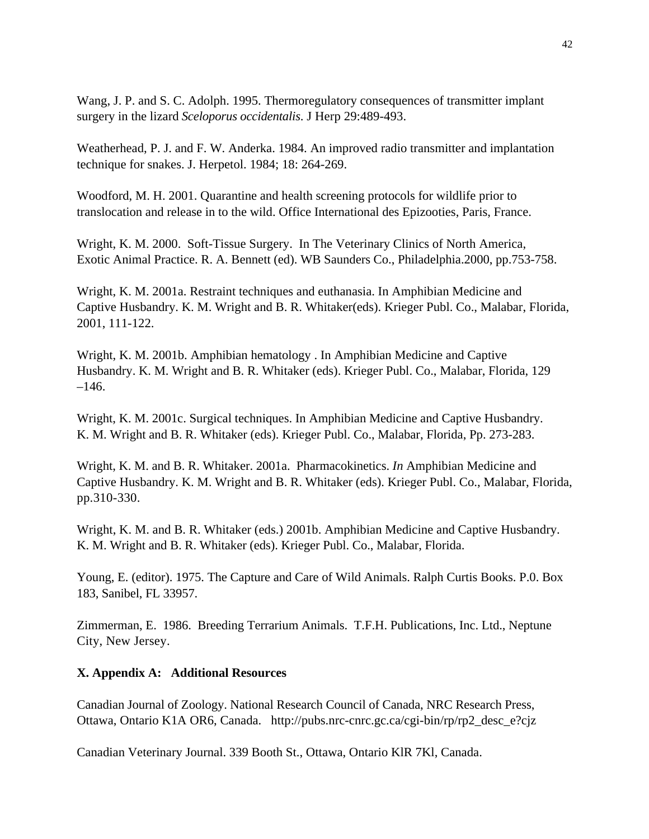Wang, J. P. and S. C. Adolph. 1995. Thermoregulatory consequences of transmitter implant surgery in the lizard *Sceloporus occidentalis*. J Herp 29:489-493.

Weatherhead, P. J. and F. W. Anderka. 1984. An improved radio transmitter and implantation technique for snakes. J. Herpetol. 1984; 18: 264-269.

Woodford, M. H. 2001. Quarantine and health screening protocols for wildlife prior to translocation and release in to the wild. Office International des Epizooties, Paris, France.

Wright, K. M. 2000. Soft-Tissue Surgery. In The Veterinary Clinics of North America, Exotic Animal Practice. R. A. Bennett (ed). WB Saunders Co., Philadelphia.2000, pp.753-758.

Wright, K. M. 2001a. Restraint techniques and euthanasia. In Amphibian Medicine and Captive Husbandry. K. M. Wright and B. R. Whitaker(eds). Krieger Publ. Co., Malabar, Florida, 2001, 111-122.

Wright, K. M. 2001b. Amphibian hematology . In Amphibian Medicine and Captive Husbandry. K. M. Wright and B. R. Whitaker (eds). Krieger Publ. Co., Malabar, Florida, 129  $-146.$ 

Wright, K. M. 2001c. Surgical techniques. In Amphibian Medicine and Captive Husbandry. K. M. Wright and B. R. Whitaker (eds). Krieger Publ. Co., Malabar, Florida, Pp. 273-283.

Wright, K. M. and B. R. Whitaker. 2001a. Pharmacokinetics. *In* Amphibian Medicine and Captive Husbandry. K. M. Wright and B. R. Whitaker (eds). Krieger Publ. Co., Malabar, Florida, pp.310-330.

Wright, K. M. and B. R. Whitaker (eds.) 2001b. Amphibian Medicine and Captive Husbandry. K. M. Wright and B. R. Whitaker (eds). Krieger Publ. Co., Malabar, Florida.

Young, E. (editor). 1975. The Capture and Care of Wild Animals. Ralph Curtis Books. P.0. Box 183, Sanibel, FL 33957.

Zimmerman, E. 1986. Breeding Terrarium Animals. T.F.H. Publications, Inc. Ltd., Neptune City, New Jersey.

## **X. Appendix A: Additional Resources**

Canadian Journal of Zoology. National Research Council of Canada, NRC Research Press, Ottawa, Ontario K1A OR6, Canada. http://pubs.nrc-cnrc.gc.ca/cgi-bin/rp/rp2\_desc\_e?cjz

Canadian Veterinary Journal. 339 Booth St., Ottawa, Ontario KlR 7Kl, Canada.